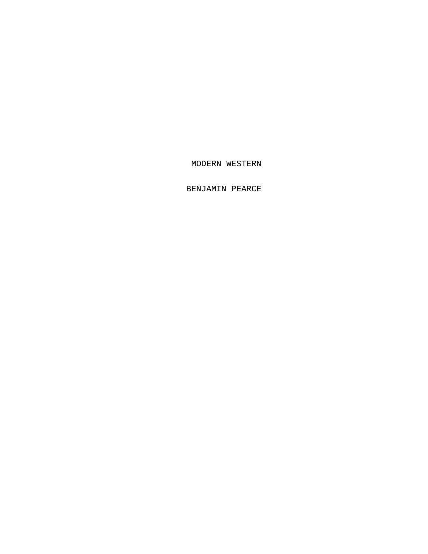MODERN WESTERN

BENJAMIN PEARCE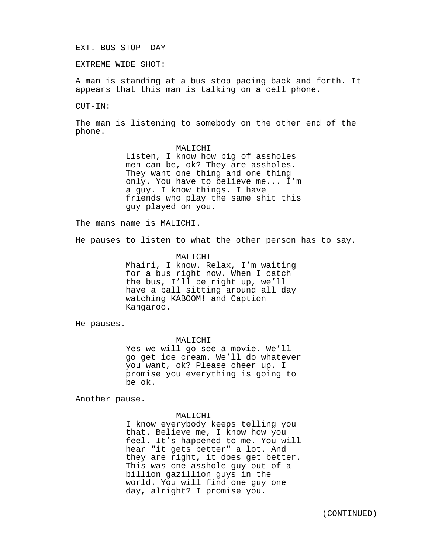#### EXT. BUS STOP- DAY

EXTREME WIDE SHOT:

A man is standing at a bus stop pacing back and forth. It appears that this man is talking on a cell phone.

CUT-IN:

The man is listening to somebody on the other end of the phone.

> MALICHI Listen, I know how big of assholes men can be, ok? They are assholes. They want one thing and one thing only. You have to believe me... I'm a guy. I know things. I have friends who play the same shit this guy played on you.

The mans name is MALICHI.

He pauses to listen to what the other person has to say.

MALICHI Mhairi, I know. Relax, I'm waiting for a bus right now. When I catch the bus, I'll be right up, we'll have a ball sitting around all day watching KABOOM! and Caption Kangaroo.

He pauses.

MALICHI

Yes we will go see a movie. We'll go get ice cream. We'll do whatever you want, ok? Please cheer up. I promise you everything is going to be ok.

Another pause.

### MALICHI

I know everybody keeps telling you that. Believe me, I know how you feel. It's happened to me. You will hear "it gets better" a lot. And they are right, it does get better. This was one asshole guy out of a billion gazillion guys in the world. You will find one guy one day, alright? I promise you.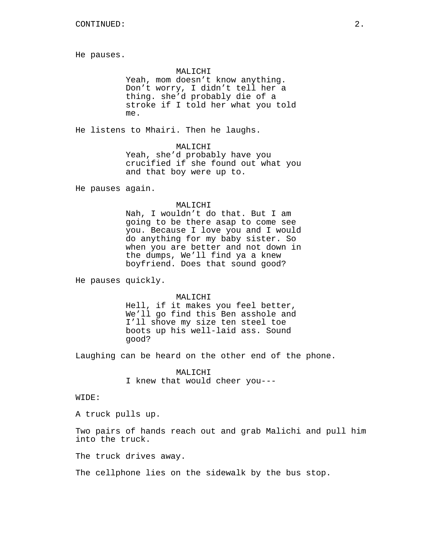He pauses.

#### MALICHI

Yeah, mom doesn't know anything. Don't worry, I didn't tell her a thing. she'd probably die of a stroke if I told her what you told me.

He listens to Mhairi. Then he laughs.

MALICHI

Yeah, she'd probably have you crucified if she found out what you and that boy were up to.

He pauses again.

#### MALICHI

Nah, I wouldn't do that. But I am going to be there asap to come see you. Because I love you and I would do anything for my baby sister. So when you are better and not down in the dumps, We'll find ya a knew boyfriend. Does that sound good?

He pauses quickly.

#### MALICHI

Hell, if it makes you feel better, We'll go find this Ben asshole and I'll shove my size ten steel toe boots up his well-laid ass. Sound good?

Laughing can be heard on the other end of the phone.

MALICHI I knew that would cheer you---

WIDE:

A truck pulls up.

Two pairs of hands reach out and grab Malichi and pull him into the truck.

The truck drives away.

The cellphone lies on the sidewalk by the bus stop.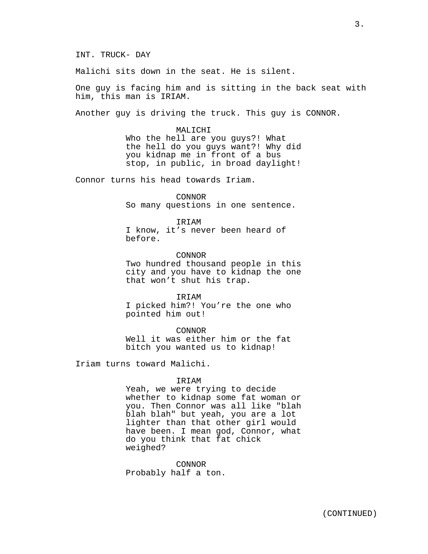Malichi sits down in the seat. He is silent.

One guy is facing him and is sitting in the back seat with him, this man is IRIAM.

Another guy is driving the truck. This guy is CONNOR.

MALICHI Who the hell are you guys?! What the hell do you guys want?! Why did you kidnap me in front of a bus stop, in public, in broad daylight!

Connor turns his head towards Iriam.

CONNOR So many questions in one sentence.

IRIAM I know, it's never been heard of before.

CONNOR Two hundred thousand people in this city and you have to kidnap the one that won't shut his trap.

IRIAM I picked him?! You're the one who pointed him out!

CONNOR Well it was either him or the fat bitch you wanted us to kidnap!

Iriam turns toward Malichi.

#### IRIAM

Yeah, we were trying to decide whether to kidnap some fat woman or you. Then Connor was all like "blah blah blah" but yeah, you are a lot lighter than that other girl would have been. I mean god, Connor, what do you think that fat chick weighed?

CONNOR Probably half a ton.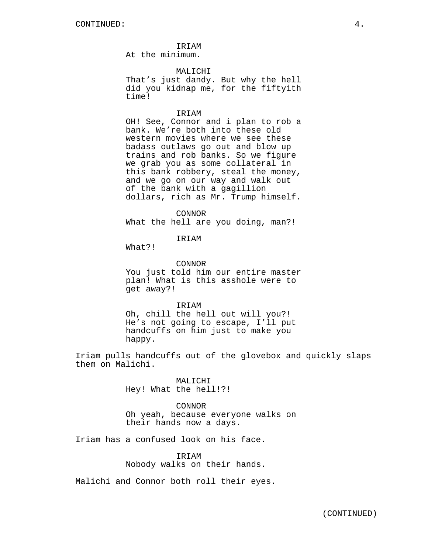IRIAM At the minimum.

MALICHI

That's just dandy. But why the hell did you kidnap me, for the fiftyith time!

## **TRTAM**

OH! See, Connor and i plan to rob a bank. We're both into these old western movies where we see these badass outlaws go out and blow up trains and rob banks. So we figure we grab you as some collateral in this bank robbery, steal the money, and we go on our way and walk out of the bank with a gagillion dollars, rich as Mr. Trump himself.

#### CONNOR

What the hell are you doing, man?!

# IRIAM

What?!

### CONNOR

You just told him our entire master plan! What is this asshole were to get away?!

#### IRIAM

Oh, chill the hell out will you?! He's not going to escape, I'll put handcuffs on him just to make you happy.

Iriam pulls handcuffs out of the glovebox and quickly slaps them on Malichi.

> MALICHI Hey! What the hell!?!

CONNOR Oh yeah, because everyone walks on their hands now a days.

Iriam has a confused look on his face.

# IRIAM Nobody walks on their hands.

Malichi and Connor both roll their eyes.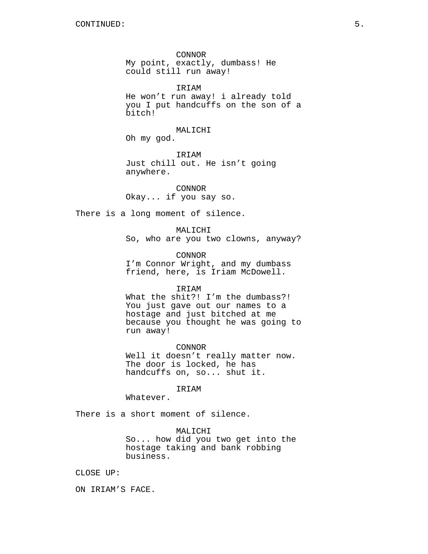CONNOR My point, exactly, dumbass! He could still run away!

IRIAM He won't run away! i already told you I put handcuffs on the son of a bitch!

MALICHI

Oh my god.

IRIAM Just chill out. He isn't going anywhere.

CONNOR Okay... if you say so.

There is a long moment of silence.

MALICHI So, who are you two clowns, anyway?

CONNOR I'm Connor Wright, and my dumbass friend, here, is Iriam McDowell.

#### IRIAM

What the shit?! I'm the dumbass?! You just gave out our names to a hostage and just bitched at me because you thought he was going to run away!

CONNOR

Well it doesn't really matter now. The door is locked, he has handcuffs on, so... shut it.

IRIAM

Whatever.

There is a short moment of silence.

MALICHI

So... how did you two get into the hostage taking and bank robbing business.

CLOSE UP:

ON IRIAM'S FACE.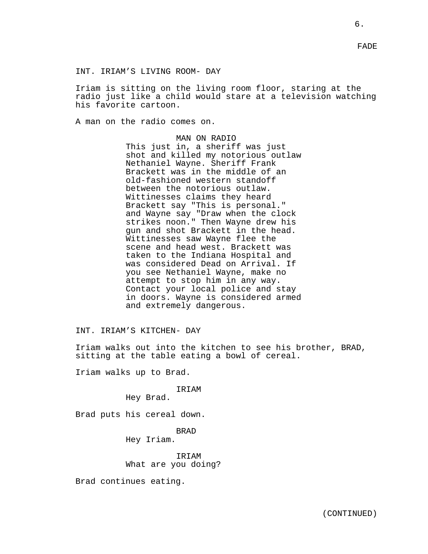INT. IRIAM'S LIVING ROOM- DAY

Iriam is sitting on the living room floor, staring at the radio just like a child would stare at a television watching his favorite cartoon.

A man on the radio comes on.

MAN ON RADIO This just in, a sheriff was just shot and killed my notorious outlaw Nethaniel Wayne. Sheriff Frank Brackett was in the middle of an old-fashioned western standoff between the notorious outlaw. Wittinesses claims they heard Brackett say "This is personal." and Wayne say "Draw when the clock strikes noon." Then Wayne drew his gun and shot Brackett in the head. Wittinesses saw Wayne flee the scene and head west. Brackett was taken to the Indiana Hospital and was considered Dead on Arrival. If you see Nethaniel Wayne, make no attempt to stop him in any way. Contact your local police and stay in doors. Wayne is considered armed and extremely dangerous.

INT. IRIAM'S KITCHEN- DAY

Iriam walks out into the kitchen to see his brother, BRAD, sitting at the table eating a bowl of cereal.

Iriam walks up to Brad.

IRIAM

Hey Brad.

Brad puts his cereal down.

BRAD Hey Iriam.

IRIAM What are you doing?

Brad continues eating.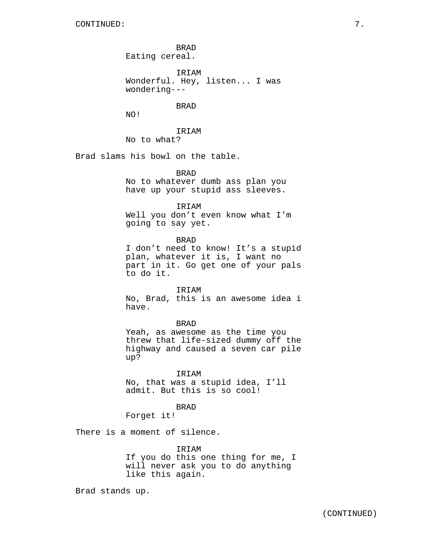BRAD Eating cereal. IRIAM Wonderful. Hey, listen... I was wondering--- BRAD NO! IRIAM No to what?

Brad slams his bowl on the table.

## BRAD

No to whatever dumb ass plan you have up your stupid ass sleeves.

## IRIAM

Well you don't even know what I'm going to say yet.

BRAD

I don't need to know! It's a stupid plan, whatever it is, I want no part in it. Go get one of your pals to do it.

**TRTAM** 

No, Brad, this is an awesome idea i have.

## BRAD

Yeah, as awesome as the time you threw that life-sized dummy off the highway and caused a seven car pile up?

IRIAM No, that was a stupid idea, I'll admit. But this is so cool!

BRAD

Forget it!

There is a moment of silence.

## IRIAM

If you do this one thing for me, I will never ask you to do anything like this again.

Brad stands up.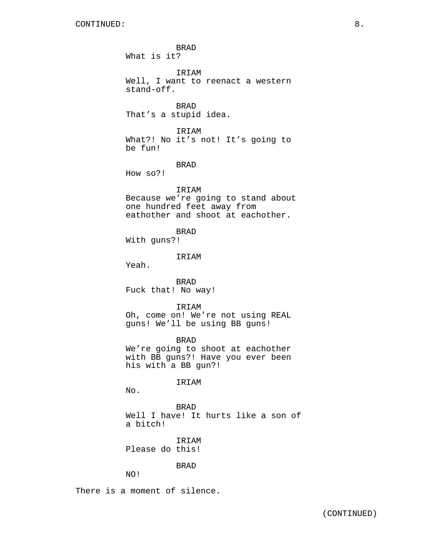BRAD What is it? IRIAM Well, I want to reenact a western stand-off. BRAD That's a stupid idea. IRIAM What?! No it's not! It's going to be fun! BRAD How so?! IRIAM Because we're going to stand about one hundred feet away from eathother and shoot at eachother. BRAD With guns?! IRIAM Yeah. BRAD Fuck that! No way! IRIAM Oh, come on! We're not using REAL guns! We'll be using BB guns! BRAD We're going to shoot at eachother with BB guns?! Have you ever been his with a BB gun?! IRIAM No. BRAD Well I have! It hurts like a son of a bitch! IRIAM Please do this! BRAD NO!

There is a moment of silence.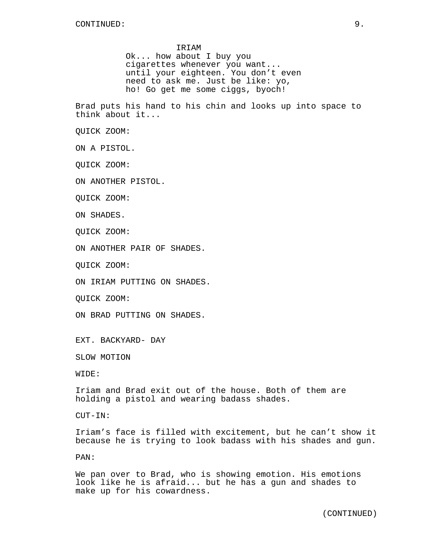#### IRIAM

Ok... how about I buy you cigarettes whenever you want... until your eighteen. You don't even need to ask me. Just be like: yo, ho! Go get me some ciggs, byoch!

Brad puts his hand to his chin and looks up into space to think about it...

QUICK ZOOM:

ON A PISTOL.

QUICK ZOOM:

ON ANOTHER PISTOL.

QUICK ZOOM:

ON SHADES.

QUICK ZOOM:

ON ANOTHER PAIR OF SHADES.

QUICK ZOOM:

ON IRIAM PUTTING ON SHADES.

QUICK ZOOM:

ON BRAD PUTTING ON SHADES.

EXT. BACKYARD- DAY

SLOW MOTION

WIDE:

Iriam and Brad exit out of the house. Both of them are holding a pistol and wearing badass shades.

CUT-IN:

Iriam's face is filled with excitement, but he can't show it because he is trying to look badass with his shades and gun.

PAN:

We pan over to Brad, who is showing emotion. His emotions look like he is afraid... but he has a gun and shades to make up for his cowardness.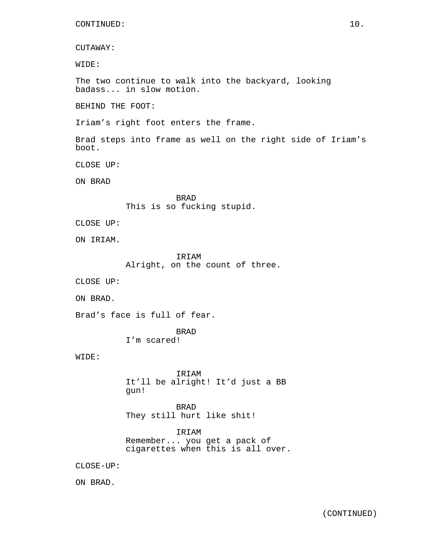CUTAWAY:

WIDE:

The two continue to walk into the backyard, looking badass... in slow motion.

BEHIND THE FOOT:

Iriam's right foot enters the frame.

Brad steps into frame as well on the right side of Iriam's boot.

CLOSE UP:

ON BRAD

BRAD This is so fucking stupid.

CLOSE UP:

ON IRIAM.

IRIAM Alright, on the count of three.

CLOSE UP:

ON BRAD.

Brad's face is full of fear.

BRAD I'm scared!

WIDE:

IRIAM It'll be alright! It'd just a BB gun!

BRAD They still hurt like shit!

IRIAM Remember... you get a pack of cigarettes when this is all over.

CLOSE-UP:

ON BRAD.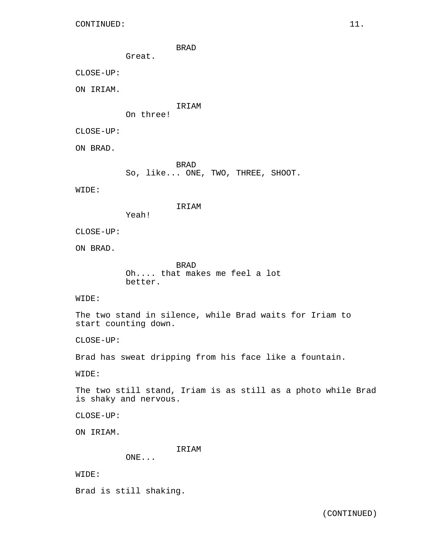BRAD

Great.

Yeah!

CLOSE-UP:

ON IRIAM.

IRIAM

On three!

CLOSE-UP:

ON BRAD.

BRAD So, like... ONE, TWO, THREE, SHOOT.

WIDE:

IRIAM

CLOSE-UP:

ON BRAD.

BRAD Oh.... that makes me feel a lot better.

WIDE:

The two stand in silence, while Brad waits for Iriam to start counting down.

CLOSE-UP:

Brad has sweat dripping from his face like a fountain.

WIDE:

The two still stand, Iriam is as still as a photo while Brad is shaky and nervous.

CLOSE-UP:

ON IRIAM.

IRIAM

ONE...

WIDE:

Brad is still shaking.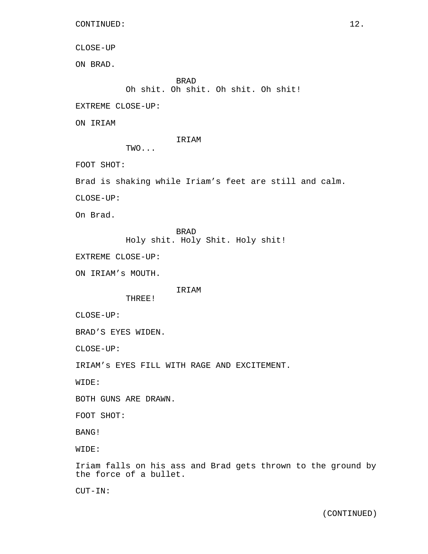```
CONTINUED: 12.
```

```
CLOSE-UP
```
ON BRAD.

BRAD Oh shit. Oh shit. Oh shit. Oh shit!

EXTREME CLOSE-UP:

ON IRIAM

```
IRIAM
```
TWO...

FOOT SHOT:

Brad is shaking while Iriam's feet are still and calm.

CLOSE-UP:

On Brad.

BRAD Holy shit. Holy Shit. Holy shit!

EXTREME CLOSE-UP:

ON IRIAM's MOUTH.

IRIAM

THREE!

CLOSE-UP:

BRAD'S EYES WIDEN.

CLOSE-UP:

IRIAM's EYES FILL WITH RAGE AND EXCITEMENT.

WIDE:

BOTH GUNS ARE DRAWN.

FOOT SHOT:

BANG!

WIDE:

Iriam falls on his ass and Brad gets thrown to the ground by the force of a bullet.

CUT-IN: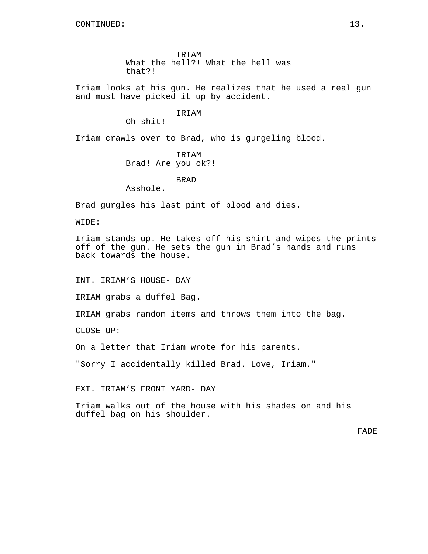IRIAM What the hell?! What the hell was that?!

Iriam looks at his gun. He realizes that he used a real gun and must have picked it up by accident.

# IRIAM

Oh shit!

Iriam crawls over to Brad, who is gurgeling blood.

IRIAM Brad! Are you ok?!

BRAD

Asshole.

Brad gurgles his last pint of blood and dies.

WIDE:

Iriam stands up. He takes off his shirt and wipes the prints off of the gun. He sets the gun in Brad's hands and runs back towards the house.

INT. IRIAM'S HOUSE- DAY

IRIAM grabs a duffel Bag.

IRIAM grabs random items and throws them into the bag.

CLOSE-UP:

On a letter that Iriam wrote for his parents.

"Sorry I accidentally killed Brad. Love, Iriam."

EXT. IRIAM'S FRONT YARD- DAY

Iriam walks out of the house with his shades on and his duffel bag on his shoulder.

FADE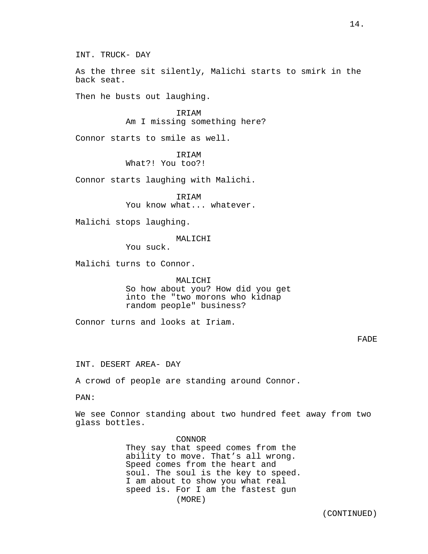INT. TRUCK- DAY

As the three sit silently, Malichi starts to smirk in the back seat.

Then he busts out laughing.

IRIAM Am I missing something here?

Connor starts to smile as well.

IRIAM

What?! You too?!

Connor starts laughing with Malichi.

IRIAM You know what... whatever.

Malichi stops laughing.

MALICHI

You suck.

Malichi turns to Connor.

MALICHI

So how about you? How did you get into the "two morons who kidnap random people" business?

Connor turns and looks at Iriam.

# FADE

INT. DESERT AREA- DAY

A crowd of people are standing around Connor.

PAN:

We see Connor standing about two hundred feet away from two glass bottles.

> CONNOR They say that speed comes from the ability to move. That's all wrong. Speed comes from the heart and soul. The soul is the key to speed. I am about to show you what real speed is. For I am the fastest gun (MORE)

> > (CONTINUED)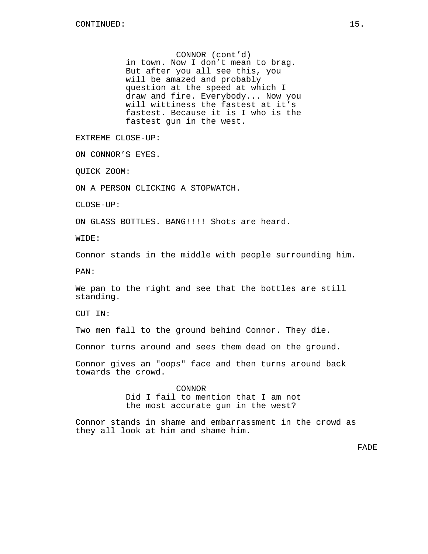CONNOR (cont'd) in town. Now I don't mean to brag. But after you all see this, you will be amazed and probably question at the speed at which I draw and fire. Everybody... Now you will wittiness the fastest at it's fastest. Because it is I who is the fastest gun in the west.

EXTREME CLOSE-UP:

ON CONNOR'S EYES.

QUICK ZOOM:

ON A PERSON CLICKING A STOPWATCH.

CLOSE-UP:

ON GLASS BOTTLES. BANG!!!! Shots are heard.

WIDE:

Connor stands in the middle with people surrounding him.

PAN:

We pan to the right and see that the bottles are still standing.

CUT IN:

Two men fall to the ground behind Connor. They die.

Connor turns around and sees them dead on the ground.

Connor gives an "oops" face and then turns around back towards the crowd.

> CONNOR Did I fail to mention that I am not the most accurate gun in the west?

Connor stands in shame and embarrassment in the crowd as they all look at him and shame him.

FADE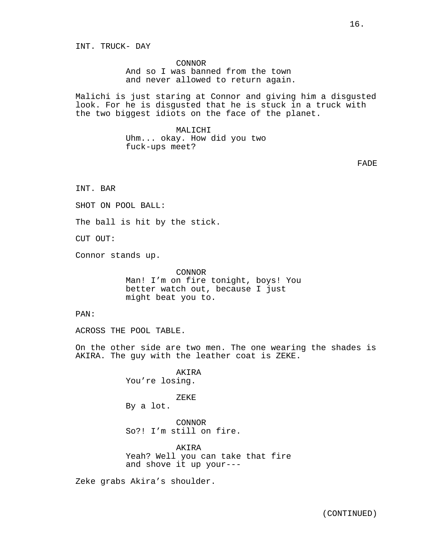INT. TRUCK- DAY

CONNOR And so I was banned from the town and never allowed to return again.

Malichi is just staring at Connor and giving him a disgusted look. For he is disgusted that he is stuck in a truck with the two biggest idiots on the face of the planet.

> MALICHI Uhm... okay. How did you two fuck-ups meet?

> > FADE

INT. BAR

SHOT ON POOL BALL:

The ball is hit by the stick.

CUT OUT:

Connor stands up.

CONNOR Man! I'm on fire tonight, boys! You better watch out, because I just might beat you to.

PAN:

ACROSS THE POOL TABLE.

On the other side are two men. The one wearing the shades is AKIRA. The guy with the leather coat is ZEKE.

> AKIRA You're losing.

ZEKE By a lot.

CONNOR So?! I'm still on fire.

AKIRA Yeah? Well you can take that fire and shove it up your---

Zeke grabs Akira's shoulder.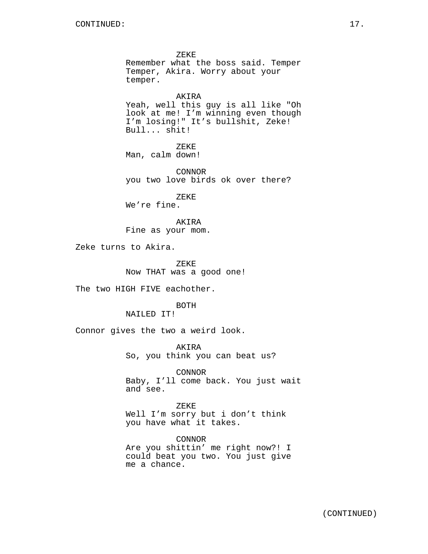ZEKE Remember what the boss said. Temper Temper, Akira. Worry about your temper. AKIRA Yeah, well this guy is all like "Oh look at me! I'm winning even though I'm losing!" It's bullshit, Zeke! Bull... shit! ZEKE Man, calm down! CONNOR you two love birds ok over there? ZEKE We're fine. AKIRA Fine as your mom. Zeke turns to Akira. ZEKE Now THAT was a good one! The two HIGH FIVE eachother. BOTH NAILED IT! Connor gives the two a weird look.

AKIRA So, you think you can beat us?

CONNOR Baby, I'll come back. You just wait and see.

ZEKE Well I'm sorry but i don't think you have what it takes.

CONNOR Are you shittin' me right now?! I could beat you two. You just give me a chance.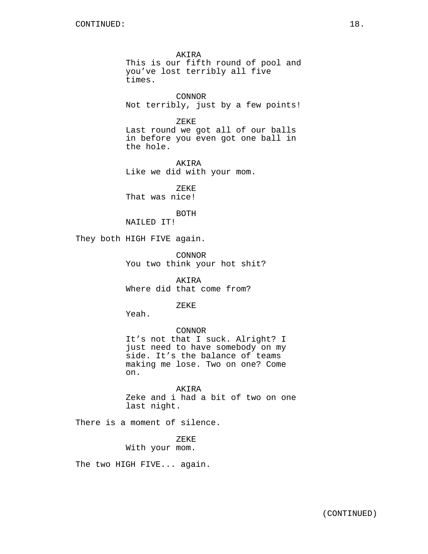AKIRA This is our fifth round of pool and you've lost terribly all five times.

CONNOR Not terribly, just by a few points!

ZEKE

Last round we got all of our balls in before you even got one ball in the hole.

AKIRA Like we did with your mom.

ZEKE That was nice!

BOTH

NAILED IT!

They both HIGH FIVE again.

CONNOR You two think your hot shit?

AKIRA Where did that come from?

ZEKE

Yeah.

CONNOR

It's not that I suck. Alright? I just need to have somebody on my side. It's the balance of teams making me lose. Two on one? Come on.

AKIRA Zeke and i had a bit of two on one last night.

There is a moment of silence.

ZEKE With your mom.

The two HIGH FIVE... again.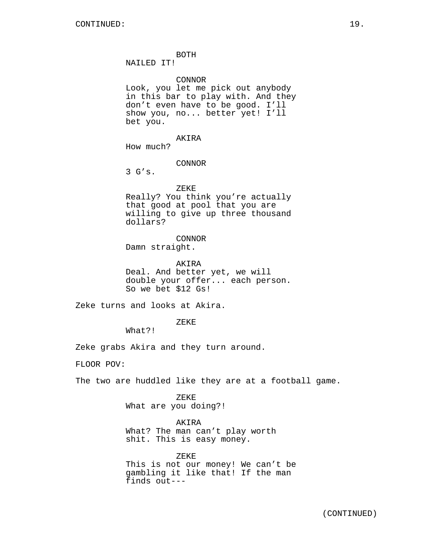BOTH

NAILED IT!

CONNOR

Look, you let me pick out anybody in this bar to play with. And they don't even have to be good. I'll show you, no... better yet! I'll bet you.

AKIRA How much?

CONNOR

3 G's.

ZEKE

Really? You think you're actually that good at pool that you are willing to give up three thousand dollars?

**CONNOR** 

Damn straight.

AKIRA Deal. And better yet, we will double your offer... each person. So we bet \$12 Gs!

Zeke turns and looks at Akira.

ZEKE

What?!

Zeke grabs Akira and they turn around.

FLOOR POV:

The two are huddled like they are at a football game.

ZEKE What are you doing?!

AKIRA

What? The man can't play worth shit. This is easy money.

ZEKE This is not our money! We can't be gambling it like that! If the man finds out---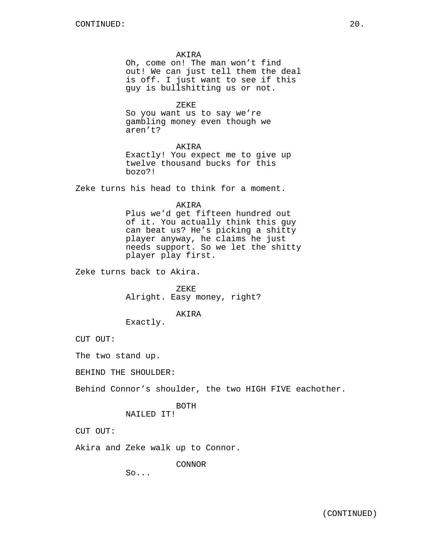### AKIRA

Oh, come on! The man won't find out! We can just tell them the deal is off. I just want to see if this guy is bullshitting us or not.

ZEKE

So you want us to say we're gambling money even though we aren't?

## AKIRA

Exactly! You expect me to give up twelve thousand bucks for this bozo?!

Zeke turns his head to think for a moment.

#### AKIRA

Plus we'd get fifteen hundred out of it. You actually think this guy can beat us? He's picking a shitty player anyway, he claims he just needs support. So we let the shitty player play first.

Zeke turns back to Akira.

ZEKE Alright. Easy money, right?

## AKIRA

Exactly.

CUT OUT:

The two stand up.

BEHIND THE SHOULDER:

Behind Connor's shoulder, the two HIGH FIVE eachother.

## BOTH NAILED IT!

CUT OUT:

Akira and Zeke walk up to Connor.

CONNOR

 $SO<sub>1</sub>$ .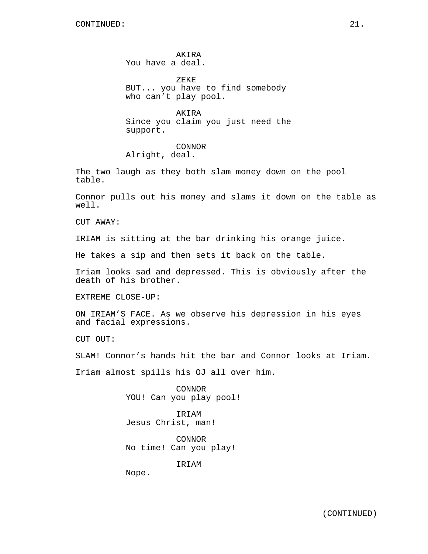AKIRA You have a deal.

ZEKE BUT... you have to find somebody who can't play pool.

AKIRA Since you claim you just need the support.

CONNOR Alright, deal.

The two laugh as they both slam money down on the pool table.

Connor pulls out his money and slams it down on the table as well.

CUT AWAY:

IRIAM is sitting at the bar drinking his orange juice.

He takes a sip and then sets it back on the table.

Iriam looks sad and depressed. This is obviously after the death of his brother.

EXTREME CLOSE-UP:

ON IRIAM'S FACE. As we observe his depression in his eyes and facial expressions.

CUT OUT:

SLAM! Connor's hands hit the bar and Connor looks at Iriam.

Iriam almost spills his OJ all over him.

CONNOR YOU! Can you play pool!

IRIAM Jesus Christ, man!

CONNOR No time! Can you play!

IRIAM

Nope.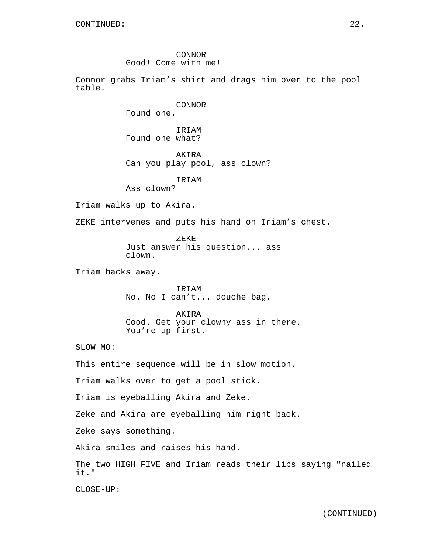CONNOR Good! Come with me!

Connor grabs Iriam's shirt and drags him over to the pool table.

CONNOR

Found one.

IRIAM Found one what?

AKIRA Can you play pool, ass clown?

IRIAM

Ass clown?

Iriam walks up to Akira.

ZEKE intervenes and puts his hand on Iriam's chest.

ZEKE Just answer his question... ass clown.

Iriam backs away.

IRIAM No. No I can't... douche bag.

AKIRA Good. Get your clowny ass in there. You're up first.

SLOW MO:

This entire sequence will be in slow motion.

Iriam walks over to get a pool stick.

Iriam is eyeballing Akira and Zeke.

Zeke and Akira are eyeballing him right back.

Zeke says something.

Akira smiles and raises his hand.

The two HIGH FIVE and Iriam reads their lips saying "nailed it."

CLOSE-UP: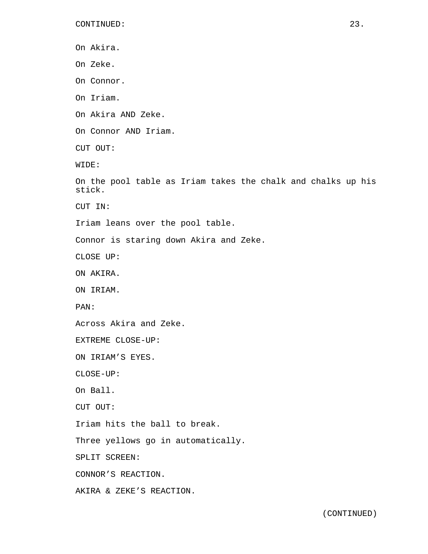On Akira. On Zeke. On Connor. On Iriam. On Akira AND Zeke. On Connor AND Iriam. CUT OUT: WIDE: On the pool table as Iriam takes the chalk and chalks up his stick. CUT IN: Iriam leans over the pool table. Connor is staring down Akira and Zeke. CLOSE UP: ON AKIRA. ON IRIAM. PAN: Across Akira and Zeke. EXTREME CLOSE-UP: ON IRIAM'S EYES. CLOSE-UP: On Ball. CUT OUT: Iriam hits the ball to break. Three yellows go in automatically. SPLIT SCREEN: CONNOR'S REACTION. AKIRA & ZEKE'S REACTION.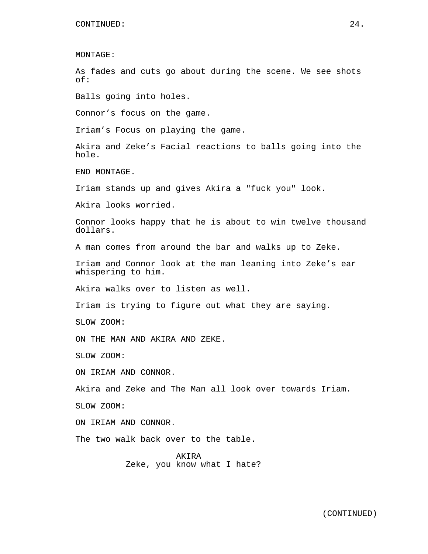MONTAGE:

As fades and cuts go about during the scene. We see shots of:

Balls going into holes.

Connor's focus on the game.

Iriam's Focus on playing the game.

Akira and Zeke's Facial reactions to balls going into the hole.

END MONTAGE.

Iriam stands up and gives Akira a "fuck you" look.

Akira looks worried.

Connor looks happy that he is about to win twelve thousand dollars.

A man comes from around the bar and walks up to Zeke.

Iriam and Connor look at the man leaning into Zeke's ear whispering to him.

Akira walks over to listen as well.

Iriam is trying to figure out what they are saying.

SLOW ZOOM:

ON THE MAN AND AKIRA AND ZEKE.

SLOW ZOOM:

ON IRIAM AND CONNOR.

Akira and Zeke and The Man all look over towards Iriam.

SLOW ZOOM:

ON IRIAM AND CONNOR.

The two walk back over to the table.

AKIRA Zeke, you know what I hate?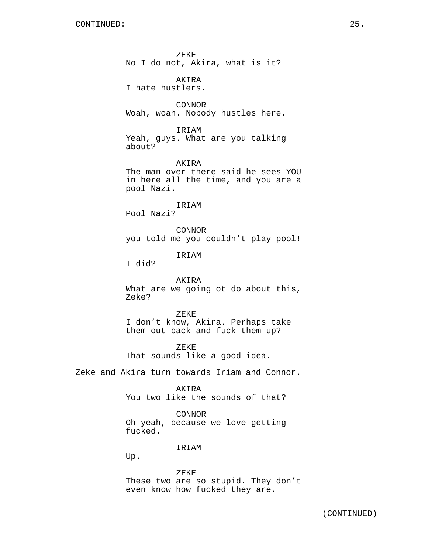ZEKE No I do not, Akira, what is it?

AKIRA I hate hustlers.

CONNOR Woah, woah. Nobody hustles here.

IRIAM Yeah, guys. What are you talking about?

AKIRA The man over there said he sees YOU in here all the time, and you are a pool Nazi.

IRIAM Pool Nazi?

CONNOR you told me you couldn't play pool!

IRIAM

I did?

AKIRA What are we going ot do about this, Zeke?

ZEKE I don't know, Akira. Perhaps take them out back and fuck them up?

ZEKE That sounds like a good idea.

Zeke and Akira turn towards Iriam and Connor.

AKIRA

You two like the sounds of that?

CONNOR Oh yeah, because we love getting fucked.

IRIAM

Up.

ZEKE These two are so stupid. They don't even know how fucked they are.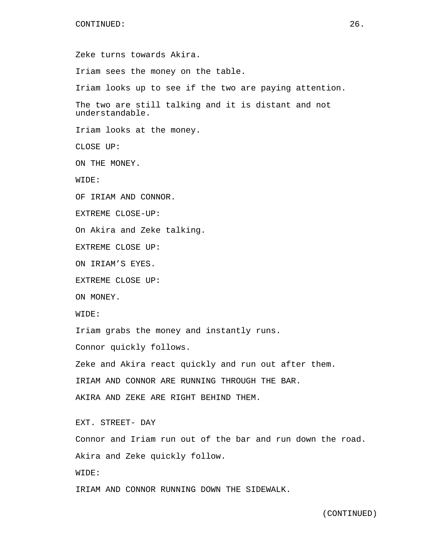Zeke turns towards Akira. Iriam sees the money on the table. Iriam looks up to see if the two are paying attention. The two are still talking and it is distant and not understandable. Iriam looks at the money. CLOSE UP: ON THE MONEY. WIDE: OF IRIAM AND CONNOR. EXTREME CLOSE-UP: On Akira and Zeke talking. EXTREME CLOSE UP: ON IRIAM'S EYES. EXTREME CLOSE UP: ON MONEY. WIDE: Iriam grabs the money and instantly runs. Connor quickly follows. Zeke and Akira react quickly and run out after them. IRIAM AND CONNOR ARE RUNNING THROUGH THE BAR. AKIRA AND ZEKE ARE RIGHT BEHIND THEM. EXT. STREET- DAY Connor and Iriam run out of the bar and run down the road. Akira and Zeke quickly follow. WIDE: IRIAM AND CONNOR RUNNING DOWN THE SIDEWALK.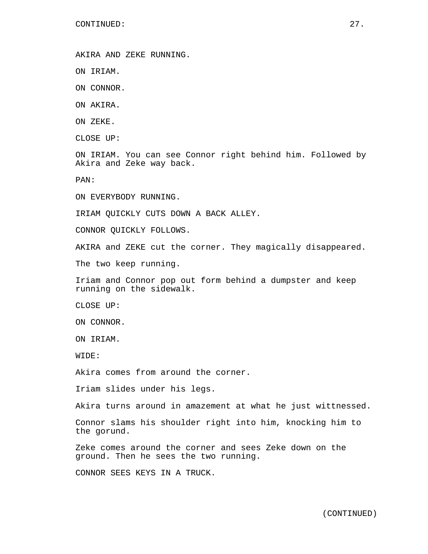AKIRA AND ZEKE RUNNING.

ON IRIAM.

ON CONNOR.

ON AKIRA.

ON ZEKE.

CLOSE UP:

ON IRIAM. You can see Connor right behind him. Followed by Akira and Zeke way back.

PAN:

ON EVERYBODY RUNNING.

IRIAM QUICKLY CUTS DOWN A BACK ALLEY.

CONNOR QUICKLY FOLLOWS.

AKIRA and ZEKE cut the corner. They magically disappeared.

The two keep running.

Iriam and Connor pop out form behind a dumpster and keep running on the sidewalk.

CLOSE UP:

ON CONNOR.

ON IRIAM.

WIDE:

Akira comes from around the corner.

Iriam slides under his legs.

Akira turns around in amazement at what he just wittnessed.

Connor slams his shoulder right into him, knocking him to the gorund.

Zeke comes around the corner and sees Zeke down on the ground. Then he sees the two running.

CONNOR SEES KEYS IN A TRUCK.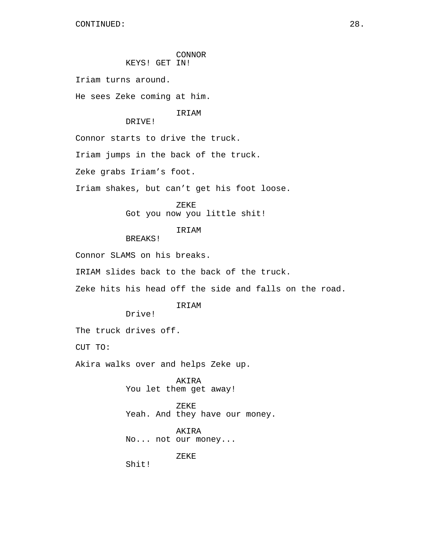## CONNOR KEYS! GET IN!

Iriam turns around.

He sees Zeke coming at him.

## IRIAM

DRIVE!

Connor starts to drive the truck.

Iriam jumps in the back of the truck.

Zeke grabs Iriam's foot.

Iriam shakes, but can't get his foot loose.

ZEKE

Got you now you little shit!

# IRIAM

BREAKS!

Connor SLAMS on his breaks.

IRIAM slides back to the back of the truck.

Zeke hits his head off the side and falls on the road.

## **TRTAM**

Drive!

The truck drives off.

CUT TO:

Akira walks over and helps Zeke up.

AKIRA You let them get away!

ZEKE Yeah. And they have our money.

AKIRA No... not our money...

ZEKE

Shit!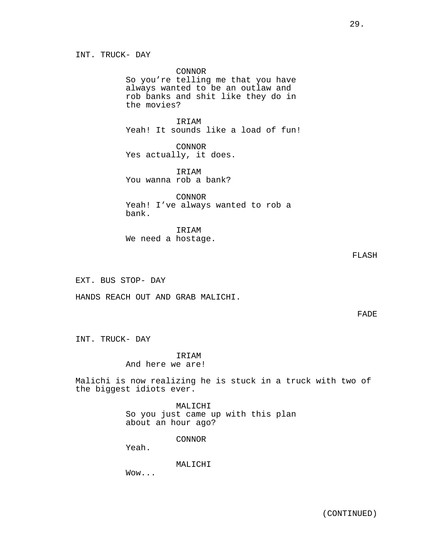INT. TRUCK- DAY

CONNOR

So you're telling me that you have always wanted to be an outlaw and rob banks and shit like they do in the movies?

IRIAM Yeah! It sounds like a load of fun!

CONNOR Yes actually, it does.

IRIAM You wanna rob a bank?

CONNOR Yeah! I've always wanted to rob a bank.

IRIAM We need a hostage.

# FLASH

EXT. BUS STOP- DAY

HANDS REACH OUT AND GRAB MALICHI.

FADE

INT. TRUCK- DAY

IRIAM

And here we are!

Malichi is now realizing he is stuck in a truck with two of the biggest idiots ever.

> MALICHI So you just came up with this plan about an hour ago?

> > CONNOR

Yeah.

MALICHI

Wow...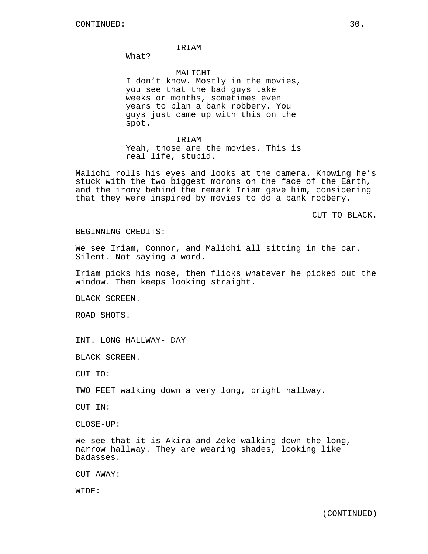## IRIAM

What?

MALICHI I don't know. Mostly in the movies, you see that the bad guys take weeks or months, sometimes even years to plan a bank robbery. You guys just came up with this on the spot.

IRIAM Yeah, those are the movies. This is real life, stupid.

Malichi rolls his eyes and looks at the camera. Knowing he's stuck with the two biggest morons on the face of the Earth, and the irony behind the remark Iriam gave him, considering that they were inspired by movies to do a bank robbery.

CUT TO BLACK.

## BEGINNING CREDITS:

We see Iriam, Connor, and Malichi all sitting in the car. Silent. Not saying a word.

Iriam picks his nose, then flicks whatever he picked out the window. Then keeps looking straight.

BLACK SCREEN.

ROAD SHOTS.

INT. LONG HALLWAY- DAY

BLACK SCREEN.

CUT TO:

TWO FEET walking down a very long, bright hallway.

CUT IN:

CLOSE-UP:

We see that it is Akira and Zeke walking down the long, narrow hallway. They are wearing shades, looking like badasses.

CUT AWAY:

WIDE: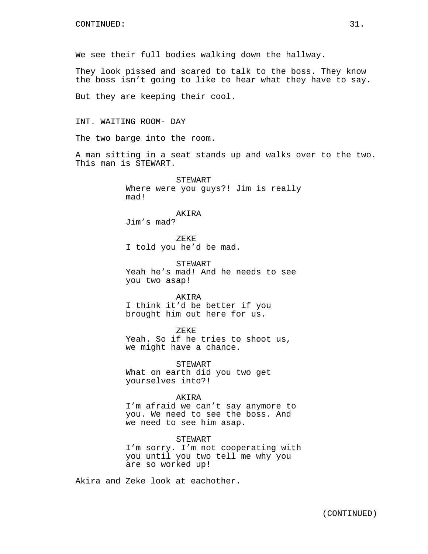We see their full bodies walking down the hallway.

They look pissed and scared to talk to the boss. They know the boss isn't going to like to hear what they have to say.

But they are keeping their cool.

INT. WAITING ROOM- DAY

The two barge into the room.

A man sitting in a seat stands up and walks over to the two. This man is STEWART.

> STEWART Where were you guys?! Jim is really mad!

AKIRA Jim's mad?

ZEKE I told you he'd be mad.

STEWART Yeah he's mad! And he needs to see you two asap!

AKIRA I think it'd be better if you brought him out here for us.

ZEKE Yeah. So if he tries to shoot us, we might have a chance.

STEWART What on earth did you two get yourselves into?!

AKIRA I'm afraid we can't say anymore to you. We need to see the boss. And we need to see him asap.

STEWART I'm sorry. I'm not cooperating with you until you two tell me why you are so worked up!

Akira and Zeke look at eachother.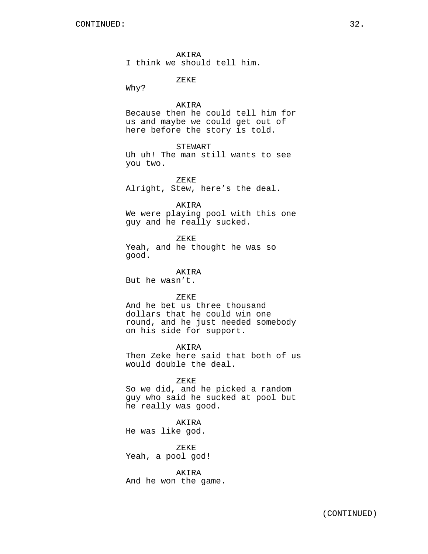AKIRA I think we should tell him.

ZEKE

Why?

AKIRA Because then he could tell him for us and maybe we could get out of here before the story is told.

STEWART

Uh uh! The man still wants to see you two.

ZEKE Alright, Stew, here's the deal.

AKIRA

We were playing pool with this one guy and he really sucked.

ZEKE Yeah, and he thought he was so good.

AKIRA But he wasn't.

ZEKE

And he bet us three thousand dollars that he could win one round, and he just needed somebody on his side for support.

AKIRA

Then Zeke here said that both of us would double the deal.

ZEKE

So we did, and he picked a random guy who said he sucked at pool but he really was good.

AKIRA

He was like god.

ZEKE Yeah, a pool god!

AKIRA

And he won the game.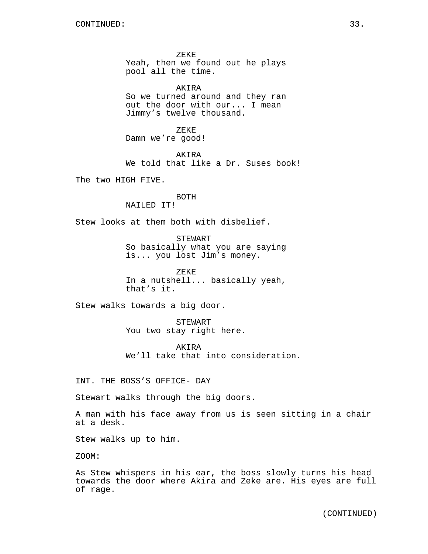ZEKE Yeah, then we found out he plays pool all the time.

AKIRA So we turned around and they ran out the door with our... I mean Jimmy's twelve thousand.

ZEKE Damn we're good!

AKIRA We told that like a Dr. Suses book!

The two HIGH FIVE.

### BOTH NAILED IT!

Stew looks at them both with disbelief.

STEWART So basically what you are saying is... you lost Jim's money.

ZEKE In a nutshell... basically yeah, that's it.

Stew walks towards a big door.

STEWART You two stay right here.

AKIRA We'll take that into consideration.

INT. THE BOSS'S OFFICE- DAY

Stewart walks through the big doors.

A man with his face away from us is seen sitting in a chair at a desk.

Stew walks up to him.

ZOOM:

As Stew whispers in his ear, the boss slowly turns his head towards the door where Akira and Zeke are. His eyes are full of rage.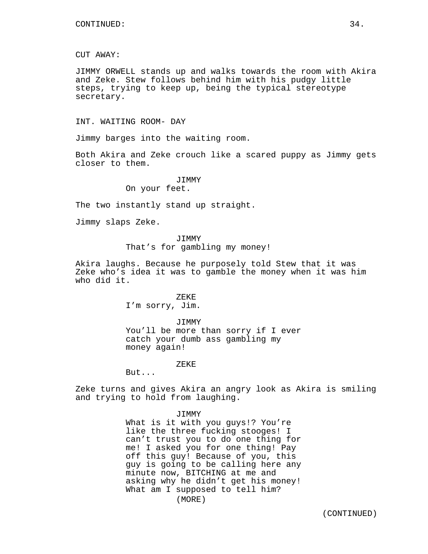## CUT AWAY:

JIMMY ORWELL stands up and walks towards the room with Akira and Zeke. Stew follows behind him with his pudgy little steps, trying to keep up, being the typical stereotype secretary.

INT. WAITING ROOM- DAY

Jimmy barges into the waiting room.

Both Akira and Zeke crouch like a scared puppy as Jimmy gets closer to them.

> JIMMY On your feet.

The two instantly stand up straight.

Jimmy slaps Zeke.

## **JTMMY**

That's for gambling my money!

Akira laughs. Because he purposely told Stew that it was Zeke who's idea it was to gamble the money when it was him who did it.

## ZEKE

I'm sorry, Jim.

JIMMY

You'll be more than sorry if I ever catch your dumb ass gambling my money again!

#### ZEKE

But...

Zeke turns and gives Akira an angry look as Akira is smiling and trying to hold from laughing.

#### JIMMY

What is it with you guys!? You're like the three fucking stooges! I can't trust you to do one thing for me! I asked you for one thing! Pay off this guy! Because of you, this guy is going to be calling here any minute now, BITCHING at me and asking why he didn't get his money! What am I supposed to tell him? (MORE)

(CONTINUED)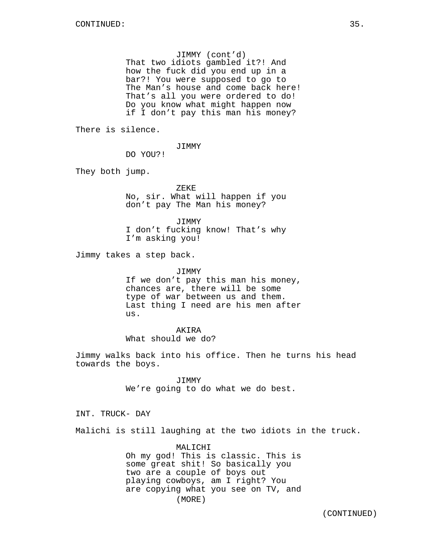## JIMMY (cont'd)

That two idiots gambled it?! And how the fuck did you end up in a bar?! You were supposed to go to The Man's house and come back here! That's all you were ordered to do! Do you know what might happen now if I don't pay this man his money?

There is silence.

JIMMY

DO YOU?!

They both jump.

ZEKE No, sir. What will happen if you don't pay The Man his money?

JIMMY I don't fucking know! That's why I'm asking you!

Jimmy takes a step back.

#### JIMMY

If we don't pay this man his money, chances are, there will be some type of war between us and them. Last thing I need are his men after us.

## AKIRA

What should we do?

Jimmy walks back into his office. Then he turns his head towards the boys.

> JIMMY We're going to do what we do best.

INT. TRUCK- DAY

Malichi is still laughing at the two idiots in the truck.

MALICHI Oh my god! This is classic. This is some great shit! So basically you two are a couple of boys out playing cowboys, am I right? You are copying what you see on TV, and (MORE)

(CONTINUED)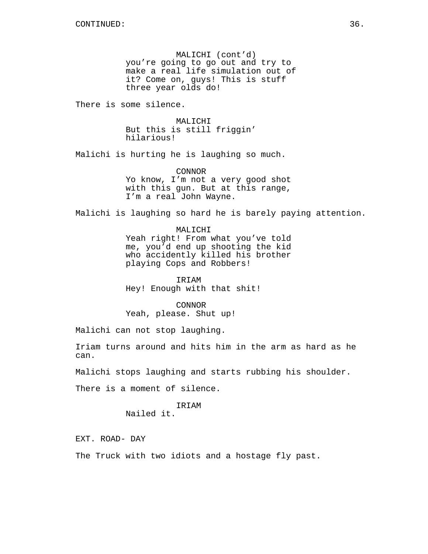MALICHI (cont'd) you're going to go out and try to make a real life simulation out of it? Come on, guys! This is stuff three year olds do!

There is some silence.

MALICHI But this is still friggin' hilarious!

Malichi is hurting he is laughing so much.

CONNOR Yo know, I'm not a very good shot with this gun. But at this range, I'm a real John Wayne.

Malichi is laughing so hard he is barely paying attention.

MALICHI Yeah right! From what you've told me, you'd end up shooting the kid who accidently killed his brother playing Cops and Robbers!

IRIAM Hey! Enough with that shit!

CONNOR Yeah, please. Shut up!

Malichi can not stop laughing.

Iriam turns around and hits him in the arm as hard as he can.

Malichi stops laughing and starts rubbing his shoulder.

There is a moment of silence.

IRIAM Nailed it.

EXT. ROAD- DAY

The Truck with two idiots and a hostage fly past.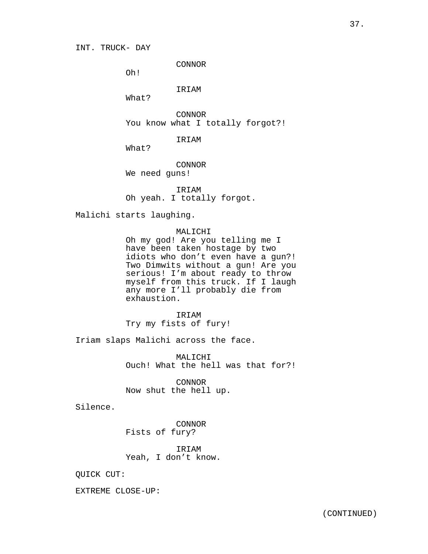CONNOR

Oh!

IRIAM

What?

CONNOR You know what I totally forgot?!

IRIAM

What?

CONNOR We need guns!

IRIAM Oh yeah. I totally forgot.

Malichi starts laughing.

### MALICHI

Oh my god! Are you telling me I have been taken hostage by two idiots who don't even have a gun?! Two Dimwits without a gun! Are you serious! I'm about ready to throw myself from this truck. If I laugh any more I'll probably die from exhaustion.

IRIAM Try my fists of fury!

Iriam slaps Malichi across the face.

MALICHI Ouch! What the hell was that for?!

CONNOR Now shut the hell up.

Silence.

CONNOR Fists of fury?

IRIAM Yeah, I don't know.

QUICK CUT:

EXTREME CLOSE-UP: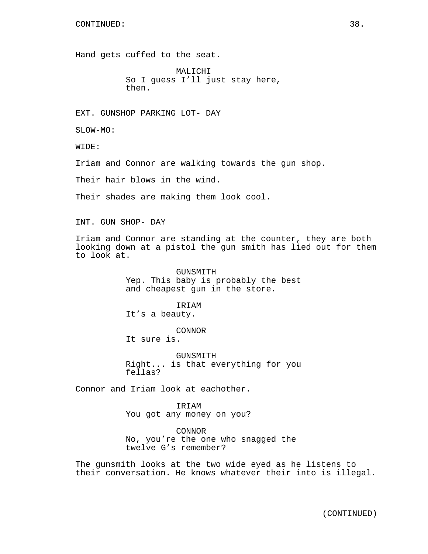Hand gets cuffed to the seat.

MALICHI So I guess I'll just stay here, then.

EXT. GUNSHOP PARKING LOT- DAY

SLOW-MO:

WIDE:

Iriam and Connor are walking towards the gun shop.

Their hair blows in the wind.

Their shades are making them look cool.

INT. GUN SHOP- DAY

Iriam and Connor are standing at the counter, they are both looking down at a pistol the gun smith has lied out for them to look at.

> GUNSMITH Yep. This baby is probably the best and cheapest gun in the store.

IRIAM It's a beauty.

CONNOR

It sure is.

GUNSMITH Right... is that everything for you fellas?

Connor and Iriam look at eachother.

IRIAM You got any money on you?

CONNOR No, you're the one who snagged the twelve G's remember?

The gunsmith looks at the two wide eyed as he listens to their conversation. He knows whatever their into is illegal.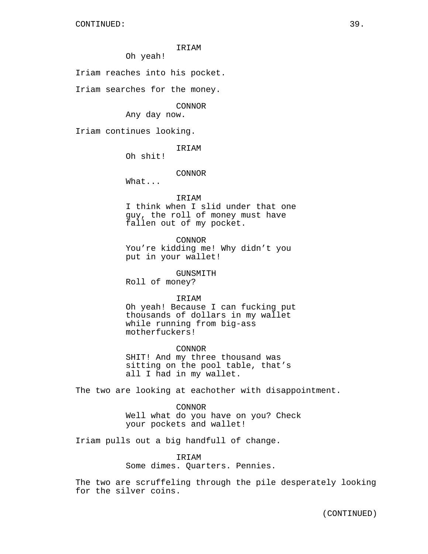Oh yeah!

Iriam reaches into his pocket.

Iriam searches for the money.

CONNOR

Any day now.

Iriam continues looking.

**TRTAM** 

Oh shit!

CONNOR

What...

IRIAM

I think when I slid under that one guy, the roll of money must have fallen out of my pocket.

CONNOR You're kidding me! Why didn't you

put in your wallet!

GUNSMITH Roll of money?

IRIAM

Oh yeah! Because I can fucking put thousands of dollars in my wallet while running from big-ass motherfuckers!

CONNOR SHIT! And my three thousand was sitting on the pool table, that's all I had in my wallet.

The two are looking at eachother with disappointment.

CONNOR Well what do you have on you? Check your pockets and wallet!

Iriam pulls out a big handfull of change.

IRIAM Some dimes. Quarters. Pennies.

The two are scruffeling through the pile desperately looking for the silver coins.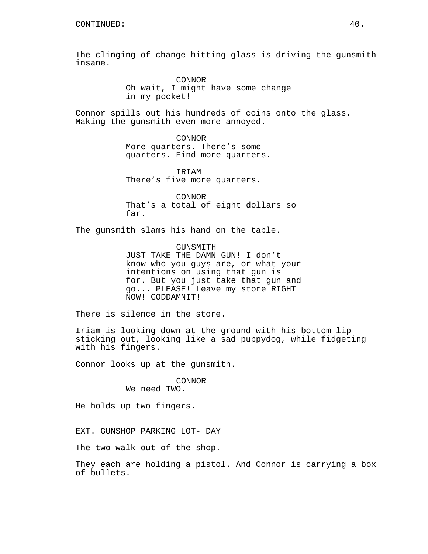The clinging of change hitting glass is driving the gunsmith insane.

> CONNOR Oh wait, I might have some change in my pocket!

Connor spills out his hundreds of coins onto the glass. Making the gunsmith even more annoyed.

> CONNOR More quarters. There's some quarters. Find more quarters.

IRIAM There's five more quarters.

CONNOR That's a total of eight dollars so far.

The gunsmith slams his hand on the table.

GUNSMITH JUST TAKE THE DAMN GUN! I don't know who you guys are, or what your intentions on using that gun is for. But you just take that gun and go... PLEASE! Leave my store RIGHT NOW! GODDAMNIT!

There is silence in the store.

Iriam is looking down at the ground with his bottom lip sticking out, looking like a sad puppydog, while fidgeting with his fingers.

Connor looks up at the gunsmith.

# CONNOR

We need TWO.

He holds up two fingers.

EXT. GUNSHOP PARKING LOT- DAY

The two walk out of the shop.

They each are holding a pistol. And Connor is carrying a box of bullets.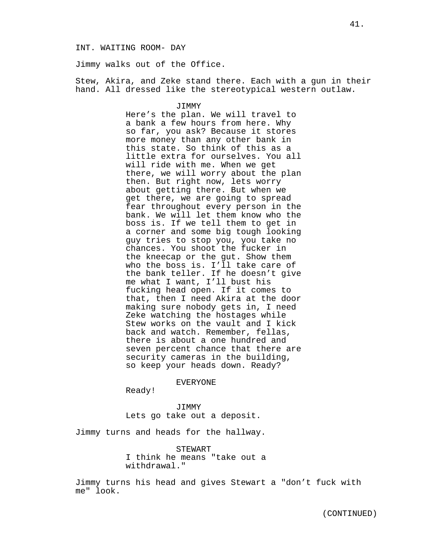#### INT. WAITING ROOM- DAY

Jimmy walks out of the Office.

Stew, Akira, and Zeke stand there. Each with a gun in their hand. All dressed like the stereotypical western outlaw.

#### JIMMY

Here's the plan. We will travel to a bank a few hours from here. Why so far, you ask? Because it stores more money than any other bank in this state. So think of this as a little extra for ourselves. You all will ride with me. When we get there, we will worry about the plan then. But right now, lets worry about getting there. But when we get there, we are going to spread fear throughout every person in the bank. We will let them know who the boss is. If we tell them to get in a corner and some big tough looking guy tries to stop you, you take no chances. You shoot the fucker in the kneecap or the gut. Show them who the boss is. I'll take care of the bank teller. If he doesn't give me what I want, I'll bust his fucking head open. If it comes to that, then I need Akira at the door making sure nobody gets in, I need Zeke watching the hostages while Stew works on the vault and I kick back and watch. Remember, fellas, there is about a one hundred and seven percent chance that there are security cameras in the building, so keep your heads down. Ready?

EVERYONE

Ready!

JIMMY Lets go take out a deposit.

Jimmy turns and heads for the hallway.

STEWART I think he means "take out a withdrawal."

Jimmy turns his head and gives Stewart a "don't fuck with me" look.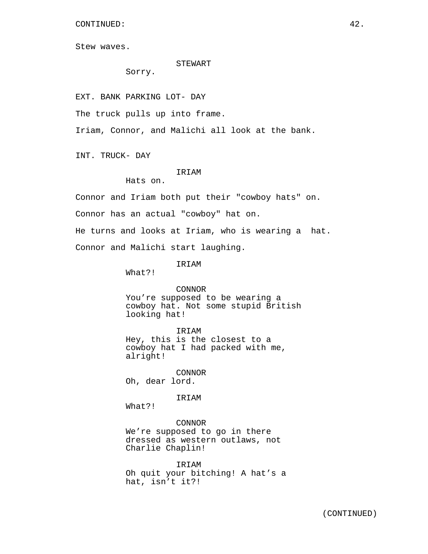CONTINUED: 42.

Stew waves.

#### STEWART

Sorry.

EXT. BANK PARKING LOT- DAY

The truck pulls up into frame.

Iriam, Connor, and Malichi all look at the bank.

INT. TRUCK- DAY

# **TRTAM**

Hats on.

Connor and Iriam both put their "cowboy hats" on.

Connor has an actual "cowboy" hat on.

He turns and looks at Iriam, who is wearing a hat. Connor and Malichi start laughing.

IRIAM

What?!

CONNOR You're supposed to be wearing a cowboy hat. Not some stupid British looking hat!

IRIAM

Hey, this is the closest to a cowboy hat I had packed with me, alright!

CONNOR Oh, dear lord.

IRIAM

What?!

CONNOR We're supposed to go in there dressed as western outlaws, not Charlie Chaplin!

IRIAM Oh quit your bitching! A hat's a hat, isn't it?!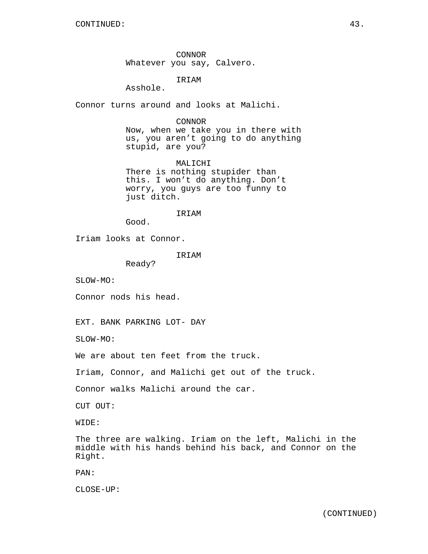CONNOR Whatever you say, Calvero.

IRIAM

Asshole.

Connor turns around and looks at Malichi.

CONNOR

Now, when we take you in there with us, you aren't going to do anything stupid, are you?

MALICHI There is nothing stupider than this. I won't do anything. Don't worry, you guys are too funny to just ditch.

IRIAM

Good.

Iriam looks at Connor.

**TRTAM** 

Ready?

SLOW-MO:

Connor nods his head.

EXT. BANK PARKING LOT- DAY

SLOW-MO:

We are about ten feet from the truck.

Iriam, Connor, and Malichi get out of the truck.

Connor walks Malichi around the car.

CUT OUT:

WIDE:

The three are walking. Iriam on the left, Malichi in the middle with his hands behind his back, and Connor on the Right.

PAN:

CLOSE-UP: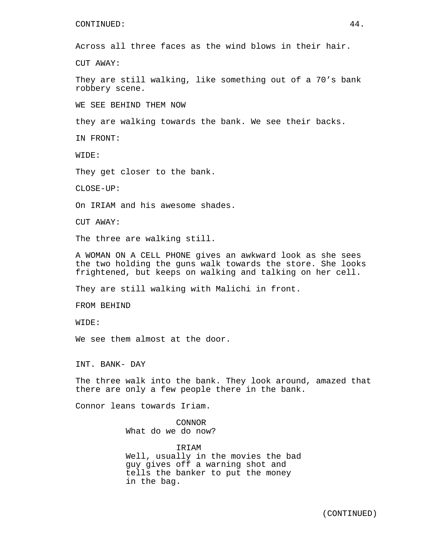### CONTINUED: 44.

Across all three faces as the wind blows in their hair.

CUT AWAY:

They are still walking, like something out of a 70's bank robbery scene.

WE SEE BEHIND THEM NOW

they are walking towards the bank. We see their backs.

IN FRONT:

WIDE:

They get closer to the bank.

CLOSE-UP:

On IRIAM and his awesome shades.

CUT AWAY:

The three are walking still.

A WOMAN ON A CELL PHONE gives an awkward look as she sees the two holding the guns walk towards the store. She looks frightened, but keeps on walking and talking on her cell.

They are still walking with Malichi in front.

FROM BEHIND

WIDE:

We see them almost at the door.

INT. BANK- DAY

The three walk into the bank. They look around, amazed that there are only a few people there in the bank.

Connor leans towards Iriam.

CONNOR What do we do now?

IRIAM Well, usually in the movies the bad guy gives off a warning shot and tells the banker to put the money in the bag.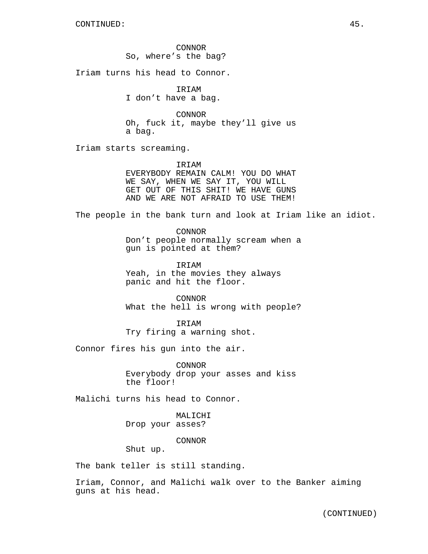CONNOR So, where's the bag?

Iriam turns his head to Connor.

IRIAM I don't have a bag.

CONNOR Oh, fuck it, maybe they'll give us a bag.

Iriam starts screaming.

**TRTAM** EVERYBODY REMAIN CALM! YOU DO WHAT WE SAY, WHEN WE SAY IT, YOU WILL GET OUT OF THIS SHIT! WE HAVE GUNS AND WE ARE NOT AFRAID TO USE THEM!

The people in the bank turn and look at Iriam like an idiot.

CONNOR Don't people normally scream when a gun is pointed at them?

IRIAM Yeah, in the movies they always panic and hit the floor.

CONNOR What the hell is wrong with people?

IRIAM Try firing a warning shot.

Connor fires his gun into the air.

CONNOR Everybody drop your asses and kiss the floor!

Malichi turns his head to Connor.

MALICHI Drop your asses?

CONNOR

Shut up.

The bank teller is still standing.

Iriam, Connor, and Malichi walk over to the Banker aiming guns at his head.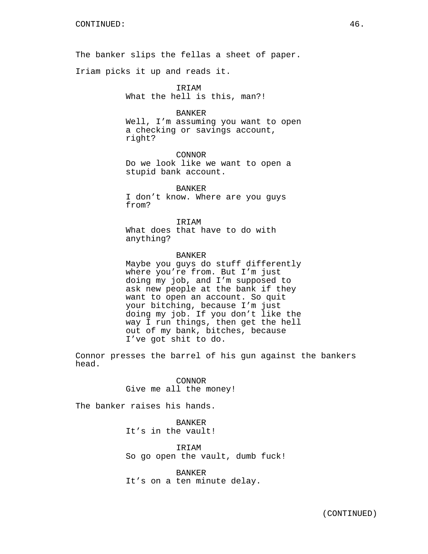The banker slips the fellas a sheet of paper.

Iriam picks it up and reads it.

IRIAM What the hell is this, man?!

BANKER

Well, I'm assuming you want to open a checking or savings account, right?

CONNOR Do we look like we want to open a stupid bank account.

BANKER I don't know. Where are you guys from?

IRIAM What does that have to do with anything?

BANKER Maybe you guys do stuff differently where you're from. But I'm just doing my job, and I'm supposed to ask new people at the bank if they want to open an account. So quit your bitching, because I'm just doing my job. If you don't like the way I run things, then get the hell out of my bank, bitches, because I've got shit to do.

Connor presses the barrel of his gun against the bankers head.

> CONNOR Give me all the money!

The banker raises his hands.

BANKER It's in the vault!

IRIAM So go open the vault, dumb fuck!

BANKER It's on a ten minute delay.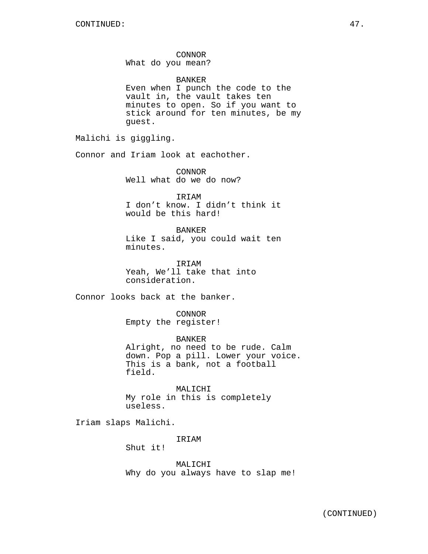# CONNOR

What do you mean?

### BANKER

Even when I punch the code to the vault in, the vault takes ten minutes to open. So if you want to stick around for ten minutes, be my guest.

Malichi is giggling.

Connor and Iriam look at eachother.

CONNOR Well what do we do now?

IRIAM I don't know. I didn't think it would be this hard!

BANKER Like I said, you could wait ten minutes.

IRIAM Yeah, We'll take that into consideration.

Connor looks back at the banker.

CONNOR Empty the register!

BANKER Alright, no need to be rude. Calm down. Pop a pill. Lower your voice. This is a bank, not a football field.

MALICHI My role in this is completely useless.

Iriam slaps Malichi.

IRIAM

Shut it!

MALICHI Why do you always have to slap me!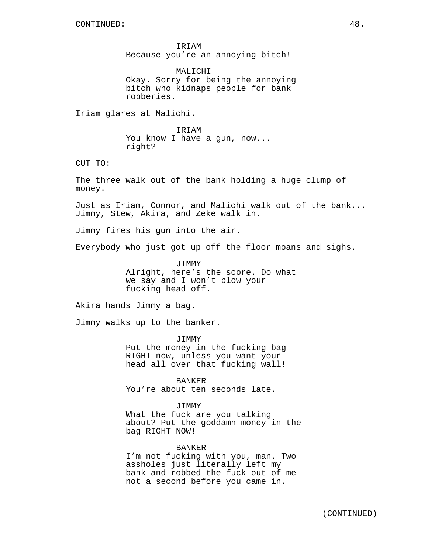IRIAM Because you're an annoying bitch!

MALICHI Okay. Sorry for being the annoying bitch who kidnaps people for bank robberies.

Iriam glares at Malichi.

IRIAM You know I have a gun, now... right?

CUT TO:

The three walk out of the bank holding a huge clump of money.

Just as Iriam, Connor, and Malichi walk out of the bank... Jimmy, Stew, Akira, and Zeke walk in.

Jimmy fires his gun into the air.

Everybody who just got up off the floor moans and sighs.

JIMMY Alright, here's the score. Do what we say and I won't blow your fucking head off.

Akira hands Jimmy a bag.

Jimmy walks up to the banker.

JIMMY Put the money in the fucking bag RIGHT now, unless you want your head all over that fucking wall!

BANKER You're about ten seconds late.

JIMMY

What the fuck are you talking about? Put the goddamn money in the bag RIGHT NOW!

#### BANKER

I'm not fucking with you, man. Two assholes just literally left my bank and robbed the fuck out of me not a second before you came in.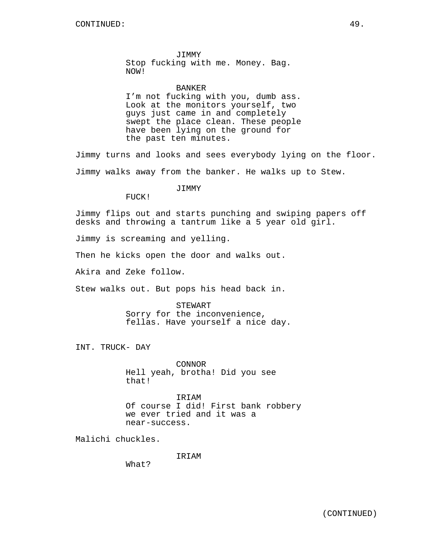JIMMY Stop fucking with me. Money. Bag. NOW!

#### BANKER

I'm not fucking with you, dumb ass. Look at the monitors yourself, two guys just came in and completely swept the place clean. These people have been lying on the ground for the past ten minutes.

Jimmy turns and looks and sees everybody lying on the floor. Jimmy walks away from the banker. He walks up to Stew.

# JIMMY

FUCK!

Jimmy flips out and starts punching and swiping papers off desks and throwing a tantrum like a 5 year old girl.

Jimmy is screaming and yelling.

Then he kicks open the door and walks out.

Akira and Zeke follow.

Stew walks out. But pops his head back in.

STEWART Sorry for the inconvenience, fellas. Have yourself a nice day.

INT. TRUCK- DAY

CONNOR Hell yeah, brotha! Did you see that!

IRIAM Of course I did! First bank robbery we ever tried and it was a near-success.

Malichi chuckles.

IRIAM

What?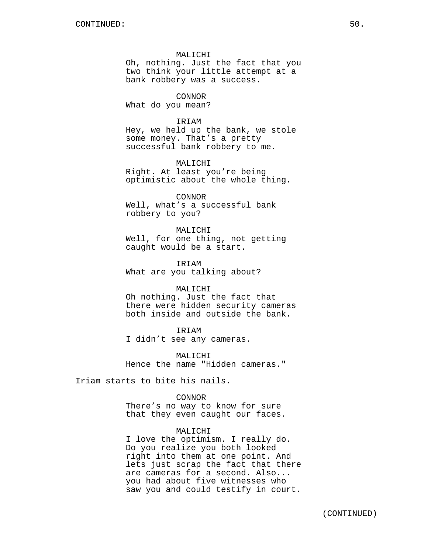## MALICHI

Oh, nothing. Just the fact that you two think your little attempt at a bank robbery was a success.

### CONNOR

What do you mean?

### IRIAM

Hey, we held up the bank, we stole some money. That's a pretty successful bank robbery to me.

### MALICHI

Right. At least you're being optimistic about the whole thing.

#### CONNOR

Well, what's a successful bank robbery to you?

#### MALICHI

Well, for one thing, not getting caught would be a start.

IRIAM What are you talking about?

#### MALICHI

Oh nothing. Just the fact that there were hidden security cameras both inside and outside the bank.

# IRIAM

I didn't see any cameras.

MALICHI Hence the name "Hidden cameras."

Iriam starts to bite his nails.

# CONNOR

There's no way to know for sure that they even caught our faces.

# MALICHI

I love the optimism. I really do. Do you realize you both looked right into them at one point. And lets just scrap the fact that there are cameras for a second. Also... you had about five witnesses who saw you and could testify in court.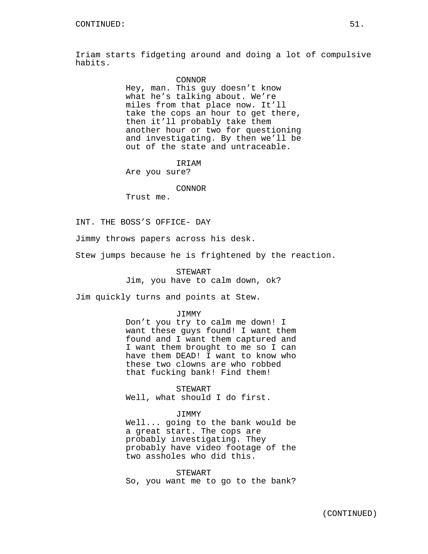Iriam starts fidgeting around and doing a lot of compulsive habits.

### CONNOR

Hey, man. This guy doesn't know what he's talking about. We're miles from that place now. It'll take the cops an hour to get there, then it'll probably take them another hour or two for questioning and investigating. By then we'll be out of the state and untraceable.

IRIAM Are you sure?

### CONNOR

Trust me.

### INT. THE BOSS'S OFFICE- DAY

Jimmy throws papers across his desk.

Stew jumps because he is frightened by the reaction.

STEWART Jim, you have to calm down, ok?

Jim quickly turns and points at Stew.

#### JIMMY

Don't you try to calm me down! I want these guys found! I want them found and I want them captured and I want them brought to me so I can have them DEAD! I want to know who these two clowns are who robbed that fucking bank! Find them!

STEWART Well, what should I do first.

### JIMMY

Well... going to the bank would be a great start. The cops are probably investigating. They probably have video footage of the two assholes who did this.

STEWART So, you want me to go to the bank?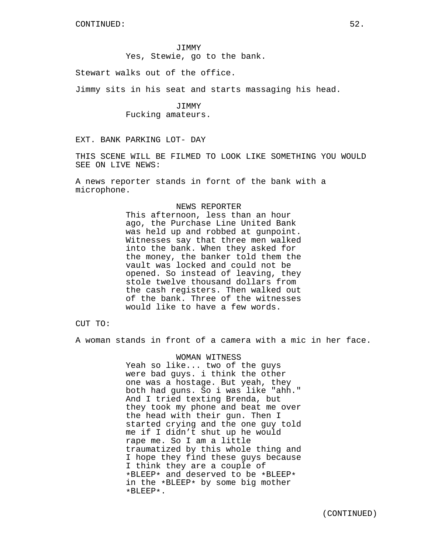JIMMY Yes, Stewie, go to the bank.

Stewart walks out of the office.

Jimmy sits in his seat and starts massaging his head.

JIMMY Fucking amateurs.

EXT. BANK PARKING LOT- DAY

THIS SCENE WILL BE FILMED TO LOOK LIKE SOMETHING YOU WOULD SEE ON LIVE NEWS:

A news reporter stands in fornt of the bank with a microphone.

### NEWS REPORTER

This afternoon, less than an hour ago, the Purchase Line United Bank was held up and robbed at gunpoint. Witnesses say that three men walked into the bank. When they asked for the money, the banker told them the vault was locked and could not be opened. So instead of leaving, they stole twelve thousand dollars from the cash registers. Then walked out of the bank. Three of the witnesses would like to have a few words.

CUT TO:

A woman stands in front of a camera with a mic in her face.

WOMAN WITNESS Yeah so like... two of the guys were bad guys. i think the other one was a hostage. But yeah, they both had guns. So i was like "ahh." And I tried texting Brenda, but they took my phone and beat me over the head with their gun. Then I started crying and the one guy told me if I didn't shut up he would rape me. So I am a little traumatized by this whole thing and I hope they find these guys because I think they are a couple of \*BLEEP\* and deserved to be \*BLEEP\* in the \*BLEEP\* by some big mother \*BLEEP\*.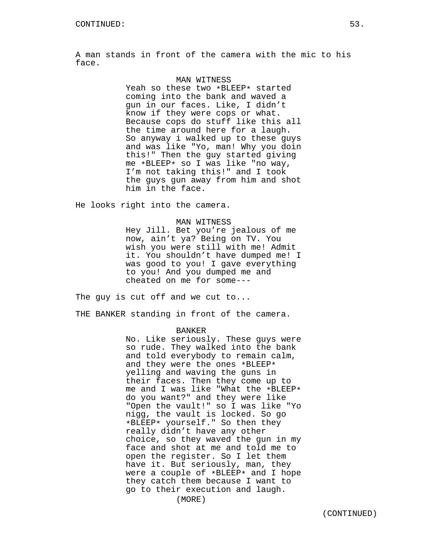A man stands in front of the camera with the mic to his face.

### MAN WITNESS

Yeah so these two \*BLEEP\* started coming into the bank and waved a gun in our faces. Like, I didn't know if they were cops or what. Because cops do stuff like this all the time around here for a laugh. So anyway i walked up to these guys and was like "Yo, man! Why you doin this!" Then the guy started giving me \*BLEEP\* so I was like "no way, I'm not taking this!" and I took the guys gun away from him and shot him in the face.

He looks right into the camera.

### MAN WITNESS

Hey Jill. Bet you're jealous of me now, ain't ya? Being on TV. You wish you were still with me! Admit it. You shouldn't have dumped me! I was good to you! I gave everything to you! And you dumped me and cheated on me for some---

The guy is cut off and we cut to...

THE BANKER standing in front of the camera.

## BANKER

No. Like seriously. These guys were so rude. They walked into the bank and told everybody to remain calm, and they were the ones \*BLEEP\* yelling and waving the guns in their faces. Then they come up to me and I was like "What the \*BLEEP\* do you want?" and they were like "Open the vault!" so I was like "Yo nigg, the vault is locked. So go \*BLEEP\* yourself." So then they really didn't have any other choice, so they waved the gun in my face and shot at me and told me to open the register. So I let them have it. But seriously, man, they were a couple of \*BLEEP\* and I hope they catch them because I want to go to their execution and laugh.

(MORE)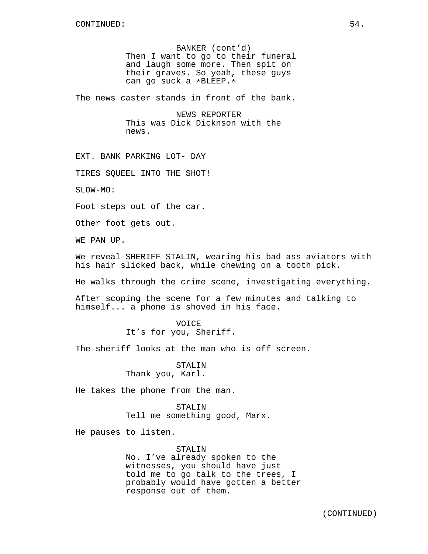BANKER (cont'd) Then I want to go to their funeral and laugh some more. Then spit on their graves. So yeah, these guys can go suck a \*BLEEP.\*

The news caster stands in front of the bank.

NEWS REPORTER This was Dick Dicknson with the news.

EXT. BANK PARKING LOT- DAY

TIRES SQUEEL INTO THE SHOT!

SLOW-MO:

Foot steps out of the car.

Other foot gets out.

WE PAN UP.

We reveal SHERIFF STALIN, wearing his bad ass aviators with his hair slicked back, while chewing on a tooth pick.

He walks through the crime scene, investigating everything.

After scoping the scene for a few minutes and talking to himself... a phone is shoved in his face.

> VOICE It's for you, Sheriff.

The sheriff looks at the man who is off screen.

STALIN Thank you, Karl.

He takes the phone from the man.

STALIN Tell me something good, Marx.

He pauses to listen.

### STALIN

No. I've already spoken to the witnesses, you should have just told me to go talk to the trees, I probably would have gotten a better response out of them.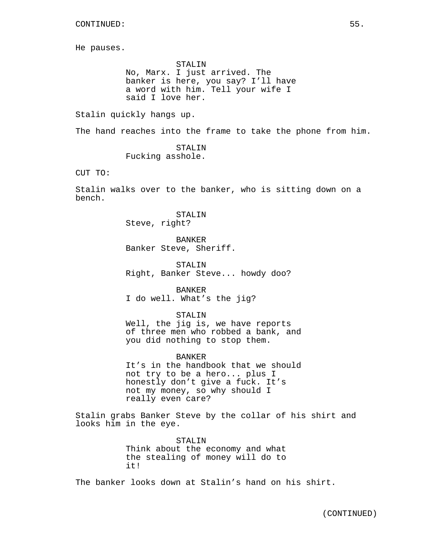He pauses.

STALIN No, Marx. I just arrived. The banker is here, you say? I'll have a word with him. Tell your wife I said I love her.

Stalin quickly hangs up.

The hand reaches into the frame to take the phone from him.

STALIN Fucking asshole.

CUT TO:

Stalin walks over to the banker, who is sitting down on a bench.

> STALIN Steve, right?

BANKER Banker Steve, Sheriff.

STALIN Right, Banker Steve... howdy doo?

BANKER I do well. What's the jig?

STALIN

Well, the jig is, we have reports of three men who robbed a bank, and you did nothing to stop them.

# BANKER

It's in the handbook that we should not try to be a hero... plus I honestly don't give a fuck. It's not my money, so why should I really even care?

Stalin grabs Banker Steve by the collar of his shirt and looks him in the eye.

> STALIN Think about the economy and what the stealing of money will do to it!

The banker looks down at Stalin's hand on his shirt.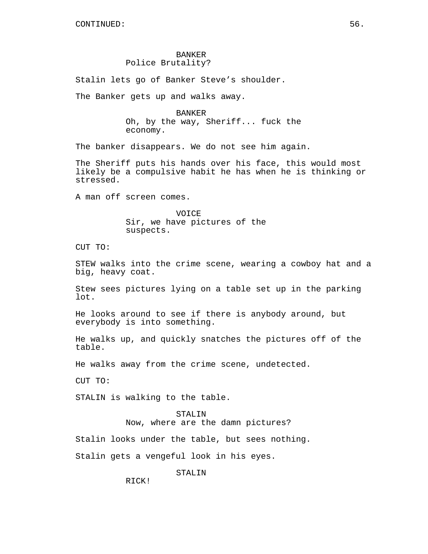# BANKER Police Brutality?

Stalin lets go of Banker Steve's shoulder.

The Banker gets up and walks away.

BANKER Oh, by the way, Sheriff... fuck the economy.

The banker disappears. We do not see him again.

The Sheriff puts his hands over his face, this would most likely be a compulsive habit he has when he is thinking or stressed.

A man off screen comes.

VOICE Sir, we have pictures of the suspects.

CUT TO:

STEW walks into the crime scene, wearing a cowboy hat and a big, heavy coat.

Stew sees pictures lying on a table set up in the parking lot.

He looks around to see if there is anybody around, but everybody is into something.

He walks up, and quickly snatches the pictures off of the table.

He walks away from the crime scene, undetected.

CUT TO:

STALIN is walking to the table.

#### STALIN

Now, where are the damn pictures?

Stalin looks under the table, but sees nothing.

Stalin gets a vengeful look in his eyes.

STALIN

RICK!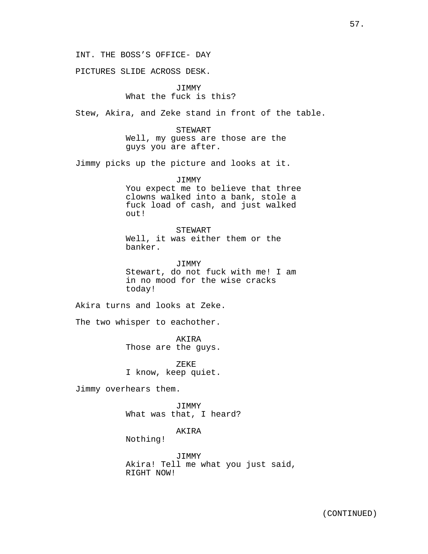PICTURES SLIDE ACROSS DESK.

# JIMMY What the fuck is this?

Stew, Akira, and Zeke stand in front of the table.

STEWART Well, my guess are those are the guys you are after.

Jimmy picks up the picture and looks at it.

JIMMY You expect me to believe that three clowns walked into a bank, stole a fuck load of cash, and just walked out!

STEWART Well, it was either them or the banker.

JIMMY Stewart, do not fuck with me! I am in no mood for the wise cracks today!

Akira turns and looks at Zeke.

The two whisper to eachother.

AKIRA Those are the guys.

ZEKE I know, keep quiet.

Jimmy overhears them.

JIMMY What was that, I heard?

AKIRA

Nothing!

JIMMY Akira! Tell me what you just said, RIGHT NOW!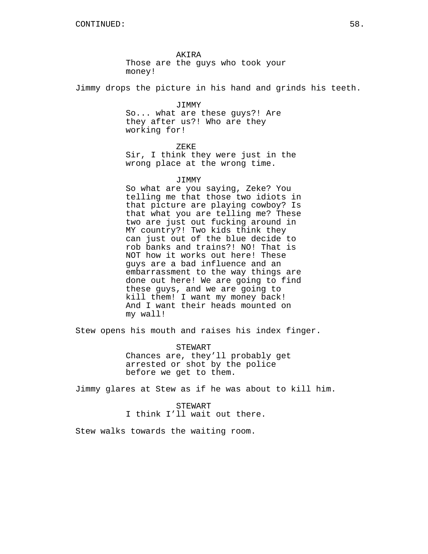AKIRA Those are the guys who took your money!

Jimmy drops the picture in his hand and grinds his teeth.

JIMMY So... what are these guys?! Are they after us?! Who are they working for!

ZEKE

Sir, I think they were just in the wrong place at the wrong time.

JIMMY

So what are you saying, Zeke? You telling me that those two idiots in that picture are playing cowboy? Is that what you are telling me? These two are just out fucking around in MY country?! Two kids think they can just out of the blue decide to rob banks and trains?! NO! That is NOT how it works out here! These guys are a bad influence and an embarrassment to the way things are done out here! We are going to find these guys, and we are going to kill them! I want my money back! And I want their heads mounted on my wall!

Stew opens his mouth and raises his index finger.

STEWART Chances are, they'll probably get arrested or shot by the police before we get to them.

Jimmy glares at Stew as if he was about to kill him.

STEWART I think I'll wait out there.

Stew walks towards the waiting room.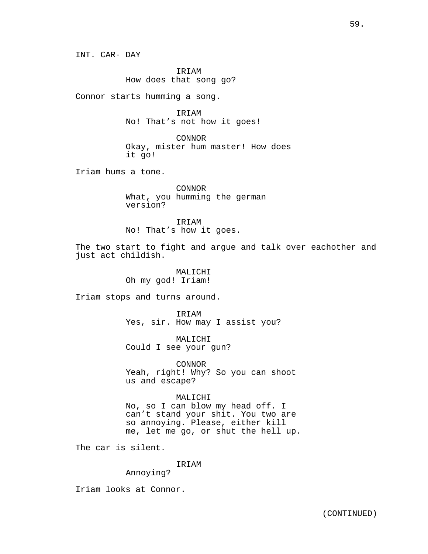IRIAM How does that song go?

Connor starts humming a song.

IRIAM No! That's not how it goes!

CONNOR Okay, mister hum master! How does it go!

Iriam hums a tone.

CONNOR What, you humming the german version?

IRIAM No! That's how it goes.

The two start to fight and argue and talk over eachother and just act childish.

> MALICHI Oh my god! Iriam!

Iriam stops and turns around.

IRIAM Yes, sir. How may I assist you?

MALICHI Could I see your gun?

CONNOR Yeah, right! Why? So you can shoot us and escape?

# MALICHI

No, so I can blow my head off. I can't stand your shit. You two are so annoying. Please, either kill me, let me go, or shut the hell up.

The car is silent.

IRIAM

Annoying?

Iriam looks at Connor.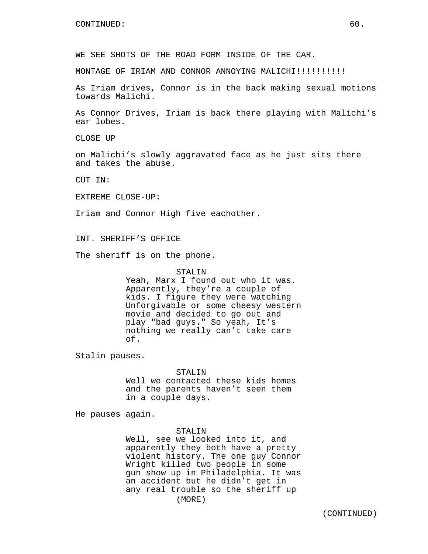WE SEE SHOTS OF THE ROAD FORM INSIDE OF THE CAR.

MONTAGE OF IRIAM AND CONNOR ANNOYING MALICHI!!!!!!!!!!

As Iriam drives, Connor is in the back making sexual motions towards Malichi.

As Connor Drives, Iriam is back there playing with Malichi's ear lobes.

CLOSE UP

on Malichi's slowly aggravated face as he just sits there and takes the abuse.

CUT IN:

EXTREME CLOSE-UP:

Iriam and Connor High five eachother.

INT. SHERIFF'S OFFICE

The sheriff is on the phone.

## STALIN

Yeah, Marx I found out who it was. Apparently, they're a couple of kids. I figure they were watching Unforgivable or some cheesy western movie and decided to go out and play "bad guys." So yeah, It's nothing we really can't take care of.

Stalin pauses.

#### STALIN

Well we contacted these kids homes and the parents haven't seen them in a couple days.

He pauses again.

# STALIN

Well, see we looked into it, and apparently they both have a pretty violent history. The one guy Connor Wright killed two people in some gun show up in Philadelphia. It was an accident but he didn't get in any real trouble so the sheriff up (MORE)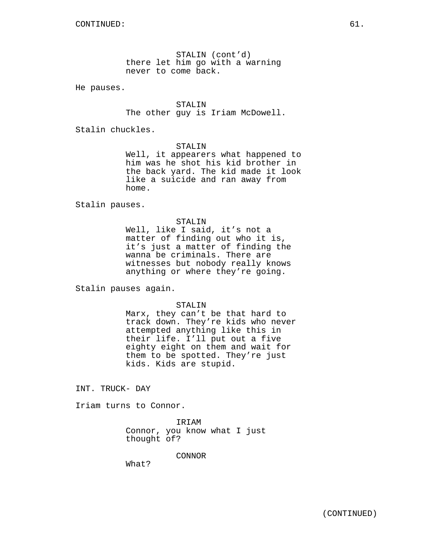STALIN (cont'd) there let him go with a warning never to come back.

He pauses.

STALIN The other guy is Iriam McDowell.

Stalin chuckles.

STALIN

Well, it appearers what happened to him was he shot his kid brother in the back yard. The kid made it look like a suicide and ran away from home.

Stalin pauses.

### STALIN

Well, like I said, it's not a matter of finding out who it is, it's just a matter of finding the wanna be criminals. There are witnesses but nobody really knows anything or where they're going.

Stalin pauses again.

#### STALIN

Marx, they can't be that hard to track down. They're kids who never attempted anything like this in their life. I'll put out a five eighty eight on them and wait for them to be spotted. They're just kids. Kids are stupid.

INT. TRUCK- DAY

Iriam turns to Connor.

IRIAM Connor, you know what I just thought of?

CONNOR

What?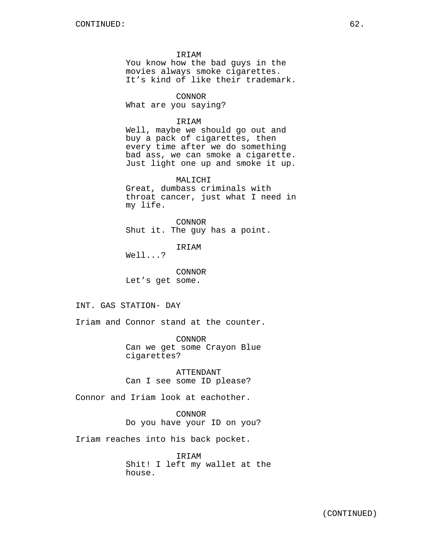IRIAM

You know how the bad guys in the movies always smoke cigarettes. It's kind of like their trademark.

CONNOR

What are you saying?

### IRIAM

Well, maybe we should go out and buy a pack of cigarettes, then every time after we do something bad ass, we can smoke a cigarette. Just light one up and smoke it up.

MALICHI Great, dumbass criminals with throat cancer, just what I need in my life.

CONNOR Shut it. The guy has a point.

IRIAM

Well...?

CONNOR Let's get some.

# INT. GAS STATION- DAY

Iriam and Connor stand at the counter.

CONNOR Can we get some Crayon Blue cigarettes?

ATTENDANT Can I see some ID please?

Connor and Iriam look at eachother.

CONNOR Do you have your ID on you?

Iriam reaches into his back pocket.

IRIAM Shit! I left my wallet at the house.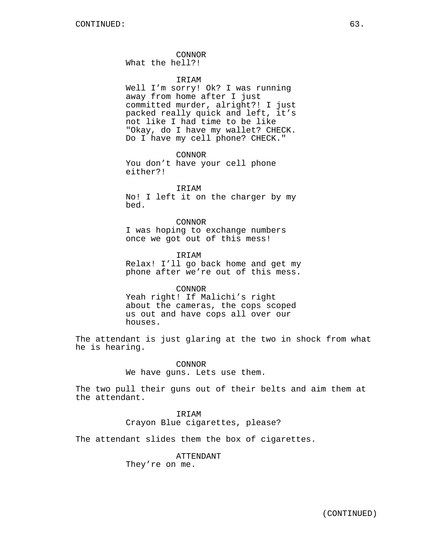CONNOR What the hell?!

### **TRTAM**

Well I'm sorry! Ok? I was running away from home after I just committed murder, alright?! I just packed really quick and left, it's not like I had time to be like "Okay, do I have my wallet? CHECK. Do I have my cell phone? CHECK."

CONNOR You don't have your cell phone either?!

IRIAM No! I left it on the charger by my bed.

CONNOR I was hoping to exchange numbers once we got out of this mess!

IRIAM Relax! I'll go back home and get my phone after we're out of this mess.

#### CONNOR

Yeah right! If Malichi's right about the cameras, the cops scoped us out and have cops all over our houses.

The attendant is just glaring at the two in shock from what he is hearing.

> CONNOR We have guns. Lets use them.

The two pull their guns out of their belts and aim them at the attendant.

> IRIAM Crayon Blue cigarettes, please?

The attendant slides them the box of cigarettes.

ATTENDANT

They're on me.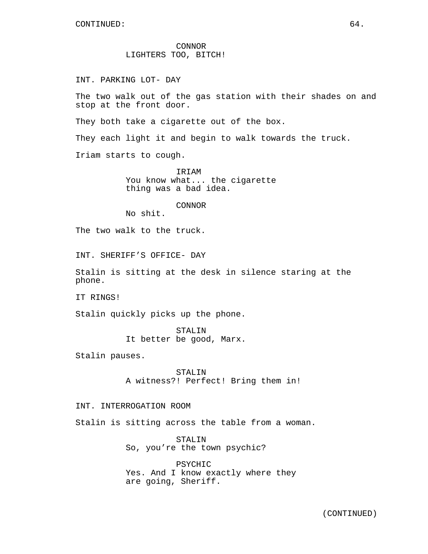CONNOR LIGHTERS TOO, BITCH!

INT. PARKING LOT- DAY

The two walk out of the gas station with their shades on and stop at the front door.

They both take a cigarette out of the box.

They each light it and begin to walk towards the truck.

Iriam starts to cough.

IRIAM You know what... the cigarette thing was a bad idea.

CONNOR

No shit.

The two walk to the truck.

INT. SHERIFF'S OFFICE- DAY

Stalin is sitting at the desk in silence staring at the phone.

IT RINGS!

Stalin quickly picks up the phone.

STALIN It better be good, Marx.

Stalin pauses.

STALIN A witness?! Perfect! Bring them in!

### INT. INTERROGATION ROOM

Stalin is sitting across the table from a woman.

STALIN So, you're the town psychic?

PSYCHIC Yes. And I know exactly where they are going, Sheriff.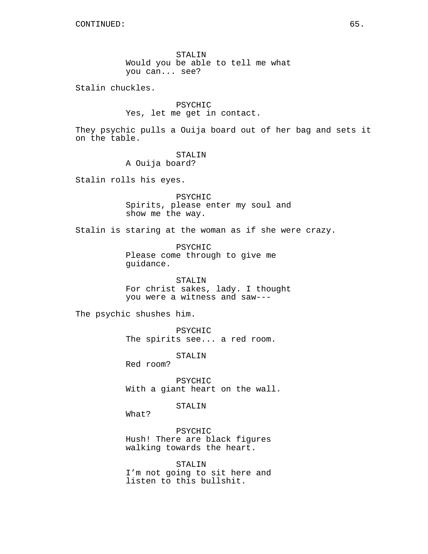STALIN Would you be able to tell me what you can... see?

Stalin chuckles.

PSYCHIC Yes, let me get in contact.

They psychic pulls a Ouija board out of her bag and sets it on the table.

STALIN

A Ouija board?

Stalin rolls his eyes.

PSYCHIC Spirits, please enter my soul and show me the way.

Stalin is staring at the woman as if she were crazy.

PSYCHIC Please come through to give me guidance.

STALIN For christ sakes, lady. I thought you were a witness and saw---

The psychic shushes him.

PSYCHIC The spirits see... a red room.

STALIN

Red room?

PSYCHIC With a giant heart on the wall.

STALIN

What?

PSYCHIC Hush! There are black figures walking towards the heart.

STALIN I'm not going to sit here and listen to this bullshit.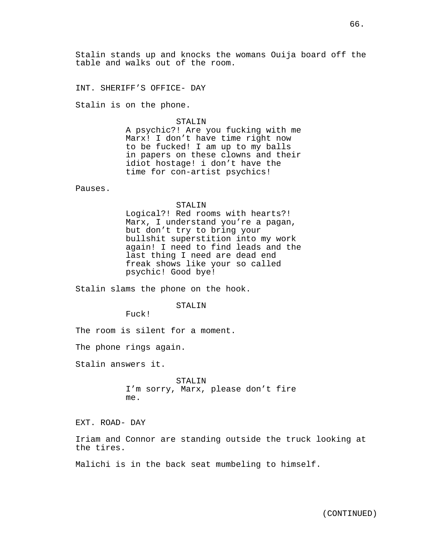Stalin stands up and knocks the womans Ouija board off the table and walks out of the room.

INT. SHERIFF'S OFFICE- DAY

Stalin is on the phone.

#### STALIN

A psychic?! Are you fucking with me Marx! I don't have time right now to be fucked! I am up to my balls in papers on these clowns and their idiot hostage! i don't have the time for con-artist psychics!

Pauses.

#### STALIN

Logical?! Red rooms with hearts?! Marx, I understand you're a pagan, but don't try to bring your bullshit superstition into my work again! I need to find leads and the last thing I need are dead end freak shows like your so called psychic! Good bye!

Stalin slams the phone on the hook.

### STALIN

Fuck!

The room is silent for a moment.

The phone rings again.

Stalin answers it.

STALIN I'm sorry, Marx, please don't fire me.

EXT. ROAD- DAY

Iriam and Connor are standing outside the truck looking at the tires.

Malichi is in the back seat mumbeling to himself.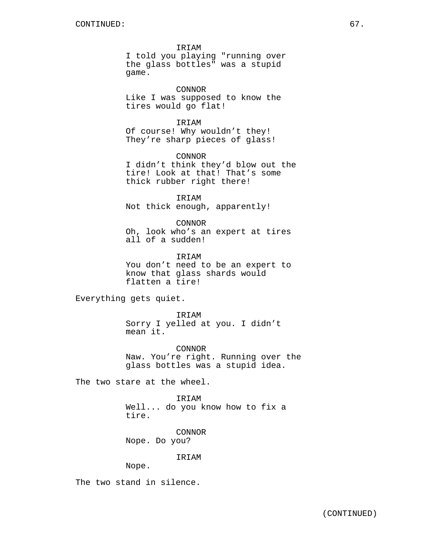IRIAM I told you playing "running over the glass bottles" was a stupid game.

CONNOR Like I was supposed to know the tires would go flat!

IRIAM Of course! Why wouldn't they! They're sharp pieces of glass!

CONNOR I didn't think they'd blow out the tire! Look at that! That's some thick rubber right there!

IRIAM Not thick enough, apparently!

CONNOR Oh, look who's an expert at tires all of a sudden!

IRIAM You don't need to be an expert to know that glass shards would flatten a tire!

Everything gets quiet.

IRIAM Sorry I yelled at you. I didn't mean it.

CONNOR Naw. You're right. Running over the glass bottles was a stupid idea.

The two stare at the wheel.

IRIAM Well... do you know how to fix a tire.

CONNOR Nope. Do you?

IRIAM

Nope.

The two stand in silence.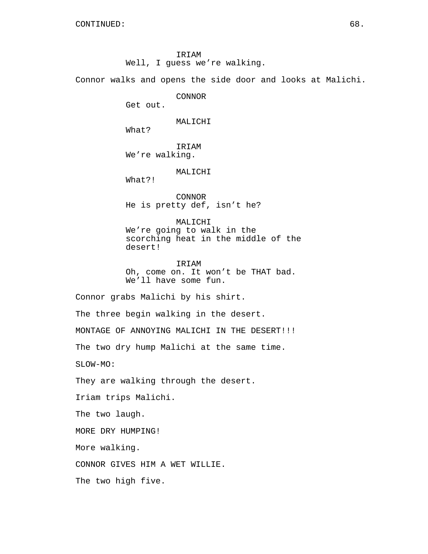IRIAM Well, I guess we're walking.

Connor walks and opens the side door and looks at Malichi.

CONNOR

Get out.

### MALICHI

What?

IRIAM We're walking.

MALICHI

What?!

The two high five.

CONNOR He is pretty def, isn't he?

MALICHI We're going to walk in the scorching heat in the middle of the desert!

IRIAM Oh, come on. It won't be THAT bad. We'll have some fun.

Connor grabs Malichi by his shirt. The three begin walking in the desert. MONTAGE OF ANNOYING MALICHI IN THE DESERT!!! The two dry hump Malichi at the same time. SLOW-MO: They are walking through the desert. Iriam trips Malichi. The two laugh. MORE DRY HUMPING! More walking. CONNOR GIVES HIM A WET WILLIE.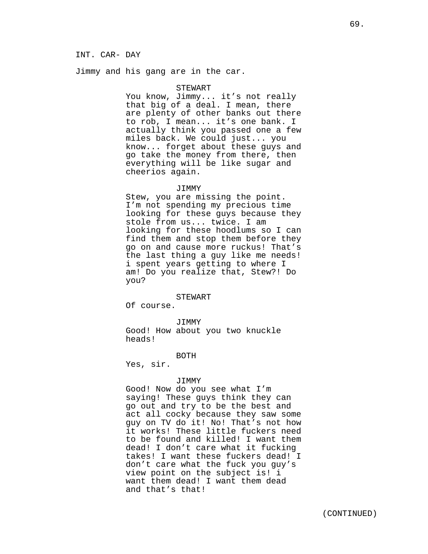## INT. CAR- DAY

Jimmy and his gang are in the car.

#### STEWART

You know, Jimmy... it's not really that big of a deal. I mean, there are plenty of other banks out there to rob, I mean... it's one bank. I actually think you passed one a few miles back. We could just... you know... forget about these guys and go take the money from there, then everything will be like sugar and cheerios again.

#### JIMMY

Stew, you are missing the point. I'm not spending my precious time looking for these guys because they stole from us... twice. I am looking for these hoodlums so I can find them and stop them before they go on and cause more ruckus! That's the last thing a guy like me needs! i spent years getting to where I am! Do you realize that, Stew?! Do you?

#### STEWART

Of course.

# JIMMY

Good! How about you two knuckle heads!

#### BOTH

Yes, sir.

#### JIMMY

Good! Now do you see what I'm saying! These guys think they can go out and try to be the best and act all cocky because they saw some guy on TV do it! No! That's not how it works! These little fuckers need to be found and killed! I want them dead! I don't care what it fucking takes! I want these fuckers dead! I don't care what the fuck you guy's view point on the subject is! i want them dead! I want them dead and that's that!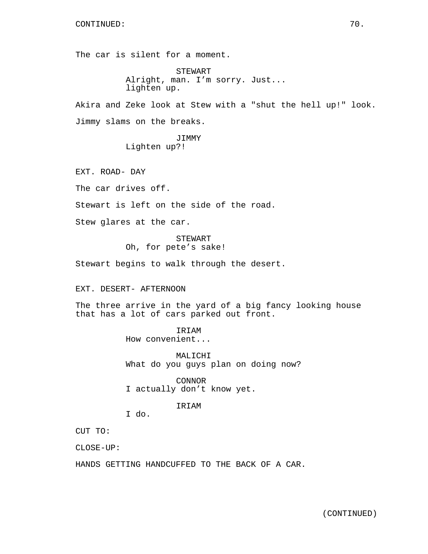The car is silent for a moment.

STEWART Alright, man. I'm sorry. Just... lighten up.

Akira and Zeke look at Stew with a "shut the hell up!" look. Jimmy slams on the breaks.

> JIMMY Lighten up?!

EXT. ROAD- DAY

The car drives off.

Stewart is left on the side of the road.

Stew glares at the car.

STEWART Oh, for pete's sake!

Stewart begins to walk through the desert.

EXT. DESERT- AFTERNOON

The three arrive in the yard of a big fancy looking house that has a lot of cars parked out front.

> IRIAM How convenient...

MALICHI What do you guys plan on doing now?

CONNOR I actually don't know yet.

# IRIAM

I do.

CUT TO:

CLOSE-UP:

HANDS GETTING HANDCUFFED TO THE BACK OF A CAR.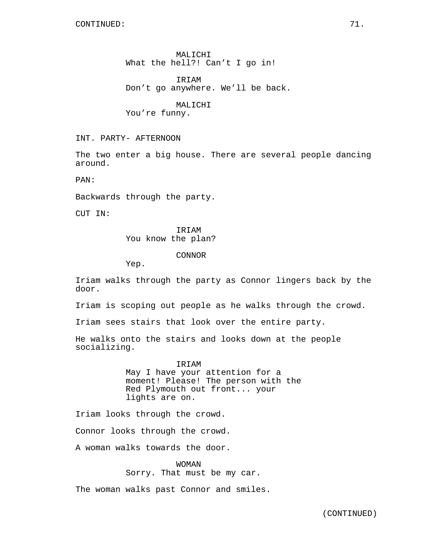MALICHI What the hell?! Can't I go in!

**TRTAM** Don't go anywhere. We'll be back.

MALICHI You're funny.

INT. PARTY- AFTERNOON

The two enter a big house. There are several people dancing around.

PAN:

Backwards through the party.

CUT IN:

IRIAM You know the plan?

CONNOR

Yep.

Iriam walks through the party as Connor lingers back by the door.

Iriam is scoping out people as he walks through the crowd.

Iriam sees stairs that look over the entire party.

He walks onto the stairs and looks down at the people socializing.

> IRIAM May I have your attention for a moment! Please! The person with the Red Plymouth out front... your lights are on.

Iriam looks through the crowd.

Connor looks through the crowd.

A woman walks towards the door.

WOMAN Sorry. That must be my car.

The woman walks past Connor and smiles.

(CONTINUED)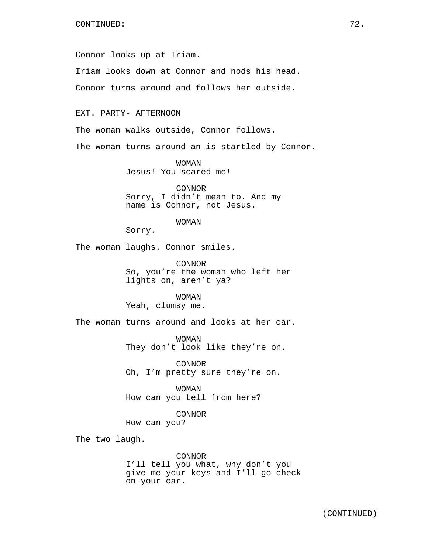Connor looks up at Iriam.

Iriam looks down at Connor and nods his head.

Connor turns around and follows her outside.

EXT. PARTY- AFTERNOON

The woman walks outside, Connor follows.

The woman turns around an is startled by Connor.

WOMAN Jesus! You scared me!

CONNOR Sorry, I didn't mean to. And my name is Connor, not Jesus.

## WOMAN

Sorry.

The woman laughs. Connor smiles.

CONNOR So, you're the woman who left her lights on, aren't ya?

WOMAN Yeah, clumsy me.

The woman turns around and looks at her car.

WOMAN They don't look like they're on.

CONNOR Oh, I'm pretty sure they're on.

WOMAN How can you tell from here?

CONNOR How can you?

The two laugh.

CONNOR I'll tell you what, why don't you give me your keys and I'll go check on your car.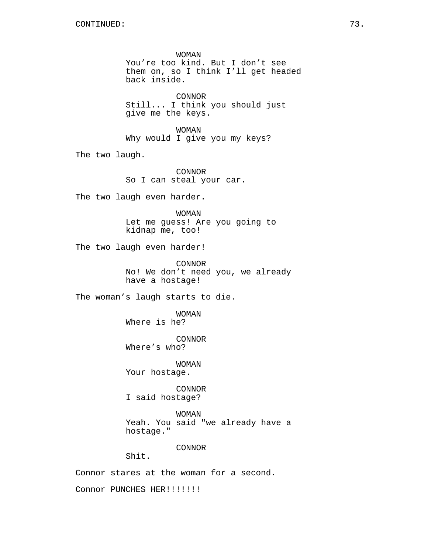WOMAN You're too kind. But I don't see them on, so I think I'll get headed back inside. CONNOR Still... I think you should just give me the keys. WOMAN Why would I give you my keys? The two laugh. CONNOR So I can steal your car. The two laugh even harder. WOMAN Let me guess! Are you going to kidnap me, too! The two laugh even harder! CONNOR No! We don't need you, we already have a hostage! The woman's laugh starts to die. WOMAN Where is he? CONNOR Where's who? WOMAN Your hostage. CONNOR I said hostage? WOMAN Yeah. You said "we already have a hostage." CONNOR Shit. Connor stares at the woman for a second. Connor PUNCHES HER!!!!!!!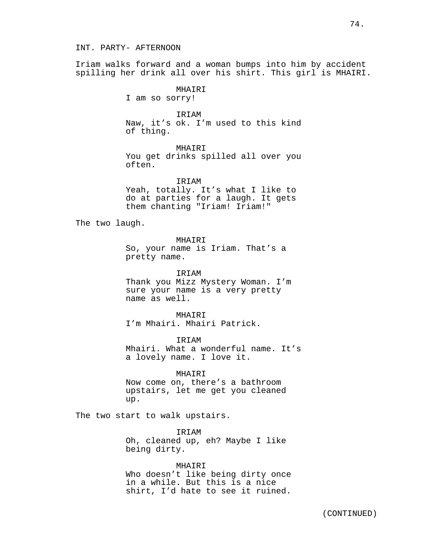#### INT. PARTY- AFTERNOON

Iriam walks forward and a woman bumps into him by accident spilling her drink all over his shirt. This girl is MHAIRI.

MHAIRI

I am so sorry!

IRIAM

Naw, it's ok. I'm used to this kind of thing.

MHAIRI

You get drinks spilled all over you often.

IRIAM Yeah, totally. It's what I like to do at parties for a laugh. It gets them chanting "Iriam! Iriam!"

The two laugh.

MHAIRI

So, your name is Iriam. That's a pretty name.

IRIAM Thank you Mizz Mystery Woman. I'm sure your name is a very pretty name as well.

MHAIRI I'm Mhairi. Mhairi Patrick.

**TRTAM** Mhairi. What a wonderful name. It's a lovely name. I love it.

MHAIRI Now come on, there's a bathroom upstairs, let me get you cleaned

The two start to walk upstairs.

up.

**TRTAM** Oh, cleaned up, eh? Maybe I like being dirty.

MHAIRI Who doesn't like being dirty once in a while. But this is a nice shirt, I'd hate to see it ruined.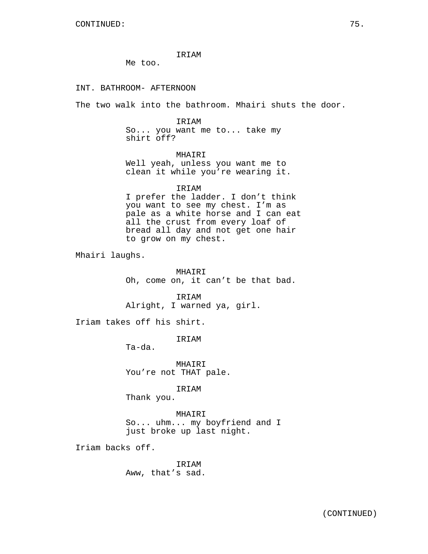IRIAM

Me too.

INT. BATHROOM- AFTERNOON

The two walk into the bathroom. Mhairi shuts the door.

IRIAM So... you want me to... take my shirt off?

MHAIRI Well yeah, unless you want me to clean it while you're wearing it.

IRIAM

I prefer the ladder. I don't think you want to see my chest. I'm as pale as a white horse and I can eat all the crust from every loaf of bread all day and not get one hair to grow on my chest.

Mhairi laughs.

MHAIRI Oh, come on, it can't be that bad.

IRIAM Alright, I warned ya, girl.

Iriam takes off his shirt.

IRIAM

Ta-da.

MHAIRI You're not THAT pale.

IRIAM

Thank you.

MHAIRI

So... uhm... my boyfriend and I just broke up last night.

Iriam backs off.

IRIAM Aww, that's sad.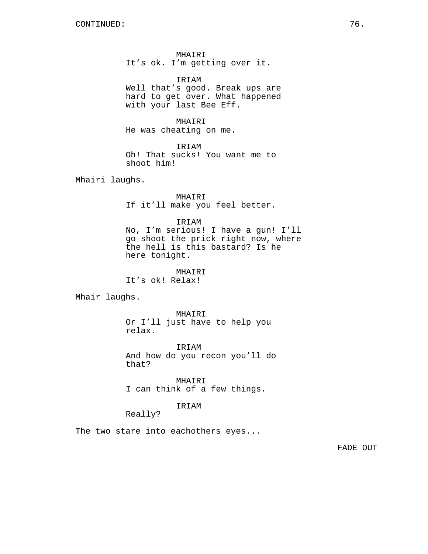MHAIRI It's ok. I'm getting over it.

IRIAM Well that's good. Break ups are hard to get over. What happened with your last Bee Eff.

MHAIRI He was cheating on me.

IRIAM Oh! That sucks! You want me to shoot him!

Mhairi laughs.

MHAIRI If it'll make you feel better.

IRIAM

No, I'm serious! I have a gun! I'll go shoot the prick right now, where the hell is this bastard? Is he here tonight.

MHAIRI It's ok! Relax!

Mhair laughs.

MHAIRI Or I'll just have to help you relax.

IRIAM And how do you recon you'll do that?

MHAIRI I can think of a few things.

## IRIAM

Really?

The two stare into eachothers eyes...

FADE OUT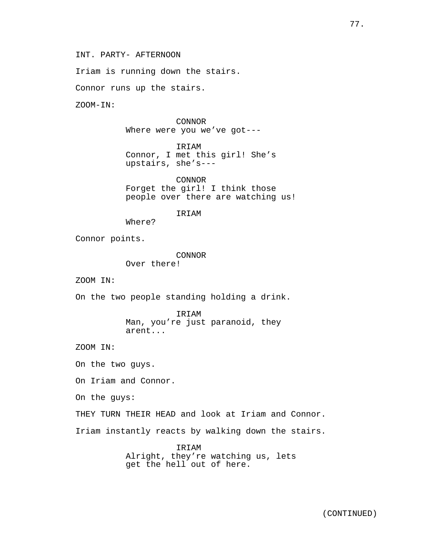INT. PARTY- AFTERNOON

Iriam is running down the stairs.

Connor runs up the stairs.

ZOOM-IN:

CONNOR Where were you we've got---

IRIAM Connor, I met this girl! She's upstairs, she's---

CONNOR Forget the girl! I think those people over there are watching us!

IRIAM

Where?

Connor points.

CONNOR Over there!

ZOOM IN:

On the two people standing holding a drink.

IRIAM Man, you're just paranoid, they arent...

ZOOM IN:

On the two guys.

On Iriam and Connor.

On the guys:

THEY TURN THEIR HEAD and look at Iriam and Connor.

Iriam instantly reacts by walking down the stairs.

IRIAM Alright, they're watching us, lets get the hell out of here.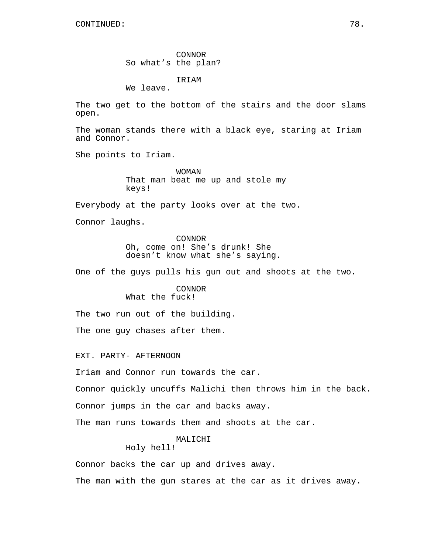CONTINUED: 78.

CONNOR So what's the plan?

IRIAM

We leave.

The two get to the bottom of the stairs and the door slams open.

The woman stands there with a black eye, staring at Iriam and Connor.

She points to Iriam.

WOMAN That man beat me up and stole my keys!

Everybody at the party looks over at the two.

Connor laughs.

CONNOR Oh, come on! She's drunk! She doesn't know what she's saying.

One of the guys pulls his gun out and shoots at the two.

CONNOR What the fuck!

The two run out of the building.

The one guy chases after them.

EXT. PARTY- AFTERNOON

Iriam and Connor run towards the car.

Connor quickly uncuffs Malichi then throws him in the back.

Connor jumps in the car and backs away.

The man runs towards them and shoots at the car.

# MALICHI

Holy hell!

Connor backs the car up and drives away.

The man with the gun stares at the car as it drives away.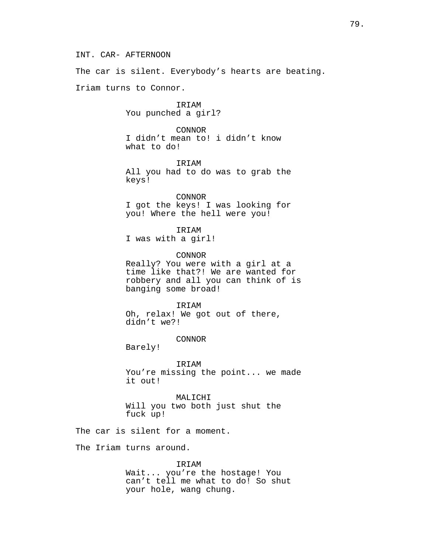INT. CAR- AFTERNOON

The car is silent. Everybody's hearts are beating.

Iriam turns to Connor.

IRIAM You punched a girl?

CONNOR I didn't mean to! i didn't know what to do!

IRIAM All you had to do was to grab the keys!

CONNOR I got the keys! I was looking for you! Where the hell were you!

IRIAM I was with a girl!

CONNOR Really? You were with a girl at a time like that?! We are wanted for robbery and all you can think of is banging some broad!

IRIAM Oh, relax! We got out of there, didn't we?!

CONNOR

Barely!

IRIAM You're missing the point... we made it out!

MALICHI Will you two both just shut the fuck up!

The car is silent for a moment.

The Iriam turns around.

IRIAM

Wait... you're the hostage! You can't tell me what to do! So shut your hole, wang chung.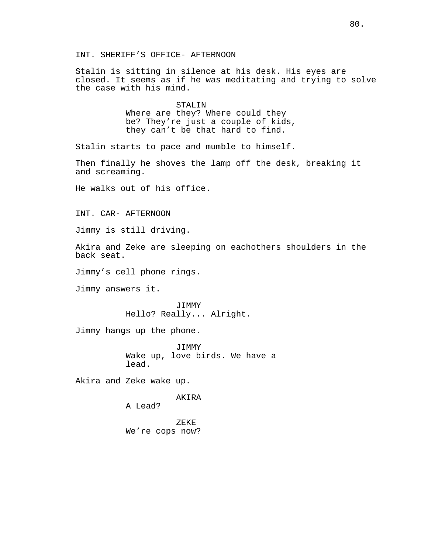Stalin is sitting in silence at his desk. His eyes are closed. It seems as if he was meditating and trying to solve the case with his mind.

## STALIN

Where are they? Where could they be? They're just a couple of kids, they can't be that hard to find.

Stalin starts to pace and mumble to himself.

Then finally he shoves the lamp off the desk, breaking it and screaming.

He walks out of his office.

INT. CAR- AFTERNOON

Jimmy is still driving.

Akira and Zeke are sleeping on eachothers shoulders in the back seat.

Jimmy's cell phone rings.

Jimmy answers it.

JIMMY Hello? Really... Alright.

Jimmy hangs up the phone.

JIMMY Wake up, love birds. We have a lead.

Akira and Zeke wake up.

AKIRA

A Lead?

ZEKE We're cops now?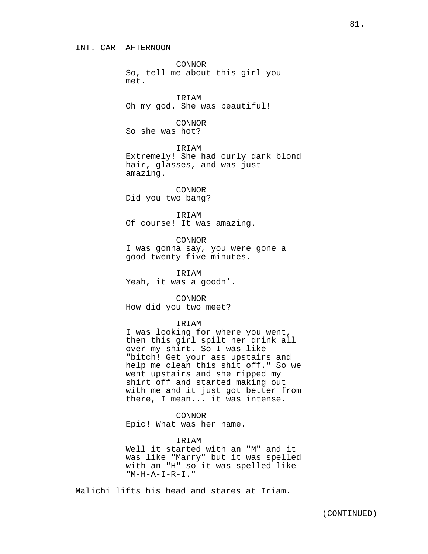#### INT. CAR- AFTERNOON

CONNOR So, tell me about this girl you met.

IRIAM Oh my god. She was beautiful!

## CONNOR

So she was hot?

**TRTAM** 

Extremely! She had curly dark blond hair, glasses, and was just amazing.

CONNOR Did you two bang?

IRIAM Of course! It was amazing.

CONNOR I was gonna say, you were gone a good twenty five minutes.

IRIAM Yeah, it was a goodn'.

CONNOR How did you two meet?

## IRIAM

I was looking for where you went, then this girl spilt her drink all over my shirt. So I was like "bitch! Get your ass upstairs and help me clean this shit off." So we went upstairs and she ripped my shirt off and started making out with me and it just got better from there, I mean... it was intense.

CONNOR Epic! What was her name.

IRIAM Well it started with an "M" and it was like "Marry" but it was spelled with an "H" so it was spelled like "M-H-A-I-R-I."

Malichi lifts his head and stares at Iriam.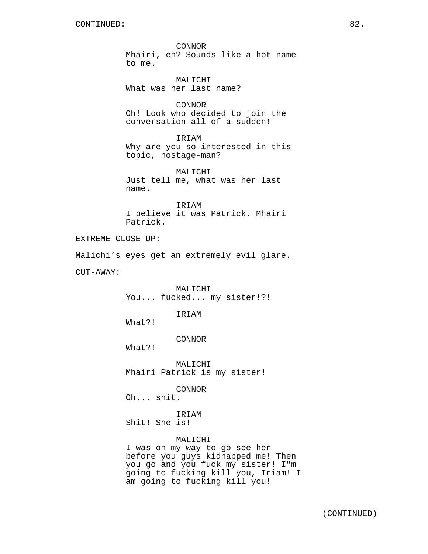CONNOR Mhairi, eh? Sounds like a hot name to me.

MALICHI What was her last name?

CONNOR Oh! Look who decided to join the conversation all of a sudden!

IRIAM Why are you so interested in this topic, hostage-man?

MALICHI Just tell me, what was her last name.

IRIAM I believe it was Patrick. Mhairi Patrick.

EXTREME CLOSE-UP:

Malichi's eyes get an extremely evil glare.

CUT-AWAY:

MALICHI You... fucked... my sister!?!

IRIAM

What?!

## CONNOR

What?!

MALICHI Mhairi Patrick is my sister!

CONNOR

Oh... shit.

IRIAM Shit! She is!

## MALICHI

I was on my way to go see her before you guys kidnapped me! Then you go and you fuck my sister! I"m going to fucking kill you, Iriam! I am going to fucking kill you!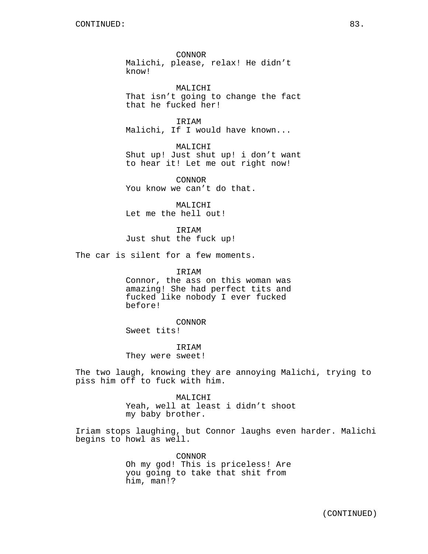CONNOR Malichi, please, relax! He didn't know!

MALICHI That isn't going to change the fact that he fucked her!

IRIAM Malichi, If I would have known...

MALICHI Shut up! Just shut up! i don't want to hear it! Let me out right now!

CONNOR You know we can't do that.

MALICHI Let me the hell out!

IRIAM Just shut the fuck up!

The car is silent for a few moments.

IRIAM Connor, the ass on this woman was amazing! She had perfect tits and fucked like nobody I ever fucked before!

CONNOR Sweet tits!

IRIAM They were sweet!

The two laugh, knowing they are annoying Malichi, trying to piss him off to fuck with him.

> MALICHI Yeah, well at least i didn't shoot my baby brother.

Iriam stops laughing, but Connor laughs even harder. Malichi begins to howl as well.

> CONNOR Oh my god! This is priceless! Are you going to take that shit from him, man!?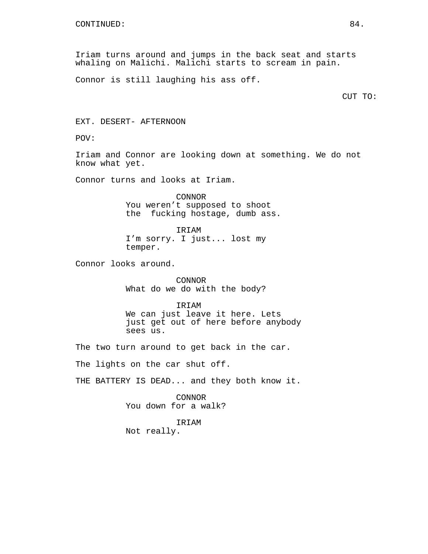Iriam turns around and jumps in the back seat and starts whaling on Malichi. Malichi starts to scream in pain.

Connor is still laughing his ass off.

CUT TO:

EXT. DESERT- AFTERNOON

POV:

Iriam and Connor are looking down at something. We do not know what yet.

Connor turns and looks at Iriam.

CONNOR You weren't supposed to shoot the fucking hostage, dumb ass.

IRIAM I'm sorry. I just... lost my temper.

Connor looks around.

CONNOR What do we do with the body?

IRIAM We can just leave it here. Lets just get out of here before anybody sees us.

The two turn around to get back in the car.

The lights on the car shut off.

THE BATTERY IS DEAD... and they both know it.

CONNOR You down for a walk?

IRIAM

Not really.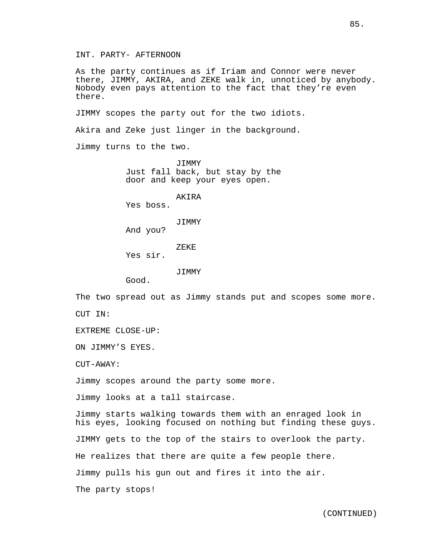INT. PARTY- AFTERNOON

As the party continues as if Iriam and Connor were never there, JIMMY, AKIRA, and ZEKE walk in, unnoticed by anybody. Nobody even pays attention to the fact that they're even there.

JIMMY scopes the party out for the two idiots.

Akira and Zeke just linger in the background.

Jimmy turns to the two.

JIMMY Just fall back, but stay by the door and keep your eyes open.

AKIRA

Yes boss.

JIMMY

And you?

ZEKE

Yes sir.

JIMMY

Good.

The two spread out as Jimmy stands put and scopes some more. CUT IN:

EXTREME CLOSE-UP:

ON JIMMY'S EYES.

 $C$ UT-AWAY:

Jimmy scopes around the party some more.

Jimmy looks at a tall staircase.

Jimmy starts walking towards them with an enraged look in his eyes, looking focused on nothing but finding these guys. JIMMY gets to the top of the stairs to overlook the party. He realizes that there are quite a few people there. Jimmy pulls his gun out and fires it into the air. The party stops!

(CONTINUED)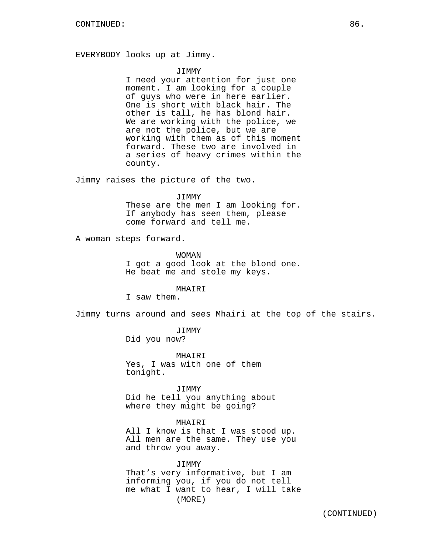EVERYBODY looks up at Jimmy.

#### JIMMY

I need your attention for just one moment. I am looking for a couple of guys who were in here earlier. One is short with black hair. The other is tall, he has blond hair. We are working with the police, we are not the police, but we are working with them as of this moment forward. These two are involved in a series of heavy crimes within the county.

Jimmy raises the picture of the two.

#### JIMMY

These are the men I am looking for. If anybody has seen them, please come forward and tell me.

A woman steps forward.

#### WOMAN

I got a good look at the blond one. He beat me and stole my keys.

## MHAIRI

I saw them.

Jimmy turns around and sees Mhairi at the top of the stairs.

JIMMY

Did you now?

MHAIRI Yes, I was with one of them tonight.

JIMMY Did he tell you anything about where they might be going?

## MHAIRI

All I know is that I was stood up. All men are the same. They use you and throw you away.

JIMMY That's very informative, but I am informing you, if you do not tell me what I want to hear, I will take (MORE)

(CONTINUED)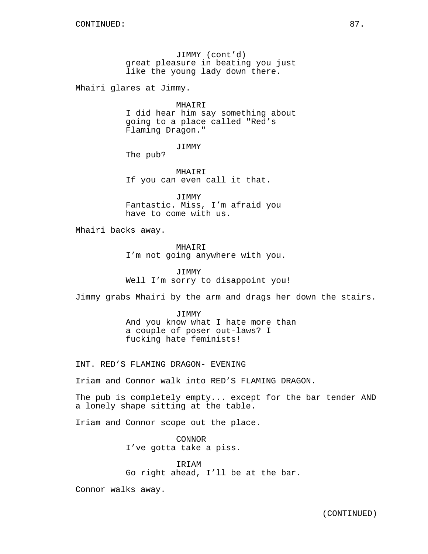JIMMY (cont'd) great pleasure in beating you just like the young lady down there.

Mhairi glares at Jimmy.

MHAIRI I did hear him say something about going to a place called "Red's Flaming Dragon."

JIMMY

The pub?

MHAIRI If you can even call it that.

JIMMY Fantastic. Miss, I'm afraid you have to come with us.

Mhairi backs away.

MHAIRI I'm not going anywhere with you.

JIMMY Well I'm sorry to disappoint you!

Jimmy grabs Mhairi by the arm and drags her down the stairs.

JIMMY And you know what I hate more than a couple of poser out-laws? I fucking hate feminists!

INT. RED'S FLAMING DRAGON- EVENING

Iriam and Connor walk into RED'S FLAMING DRAGON.

The pub is completely empty... except for the bar tender AND a lonely shape sitting at the table.

Iriam and Connor scope out the place.

CONNOR I've gotta take a piss.

IRIAM Go right ahead, I'll be at the bar.

Connor walks away.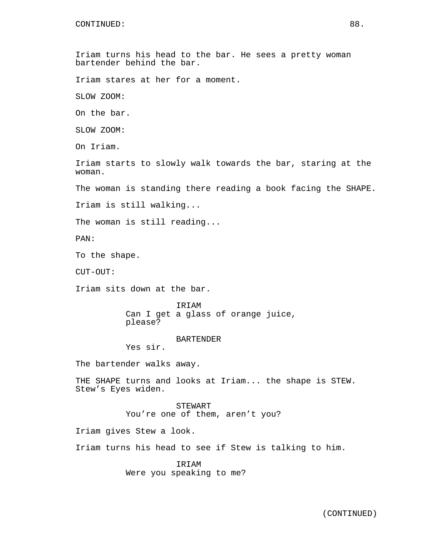Iriam turns his head to the bar. He sees a pretty woman bartender behind the bar. Iriam stares at her for a moment. SLOW ZOOM: On the bar. SLOW ZOOM: On Iriam. Iriam starts to slowly walk towards the bar, staring at the woman. The woman is standing there reading a book facing the SHAPE. Iriam is still walking... The woman is still reading... PAN: To the shape. CUT-OUT: Iriam sits down at the bar. **TRTAM** Can I get a glass of orange juice, please? BARTENDER Yes sir. The bartender walks away. THE SHAPE turns and looks at Iriam... the shape is STEW. Stew's Eyes widen. STEWART You're one of them, aren't you? Iriam gives Stew a look. Iriam turns his head to see if Stew is talking to him. IRIAM Were you speaking to me?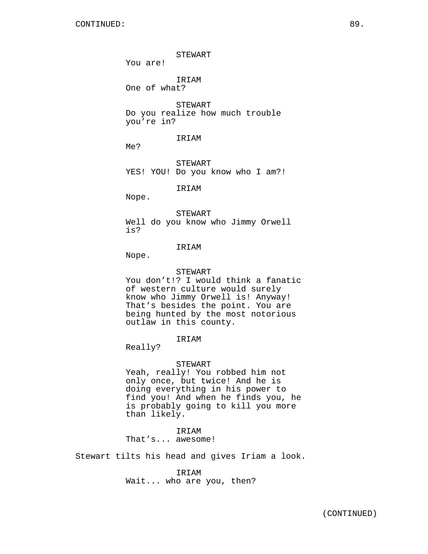STEWART You are! IRIAM One of what? STEWART Do you realize how much trouble you're in? IRIAM Me? STEWART YES! YOU! Do you know who I am?! IRIAM Nope. STEWART Well do you know who Jimmy Orwell is? IRIAM Nope. STEWART You don't!? I would think a fanatic of western culture would surely

know who Jimmy Orwell is! Anyway! That's besides the point. You are being hunted by the most notorious outlaw in this county.

## IRIAM

Really?

## STEWART

Yeah, really! You robbed him not only once, but twice! And he is doing everything in his power to find you! And when he finds you, he is probably going to kill you more than likely.

# IRIAM

That's... awesome!

Stewart tilts his head and gives Iriam a look.

IRIAM Wait... who are you, then?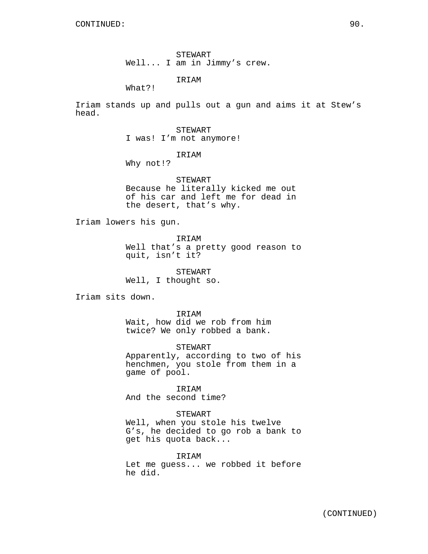STEWART Well... I am in Jimmy's crew.

IRIAM

What?!

Iriam stands up and pulls out a gun and aims it at Stew's head.

> STEWART I was! I'm not anymore!

> > IRIAM

Why not!?

STEWART Because he literally kicked me out of his car and left me for dead in the desert, that's why.

Iriam lowers his gun.

IRIAM

Well that's a pretty good reason to quit, isn't it?

STEWART Well, I thought so.

Iriam sits down.

IRIAM Wait, how did we rob from him twice? We only robbed a bank.

STEWART Apparently, according to two of his

henchmen, you stole from them in a game of pool.

IRIAM And the second time?

STEWART

Well, when you stole his twelve G's, he decided to go rob a bank to get his quota back...

IRIAM Let me guess... we robbed it before he did.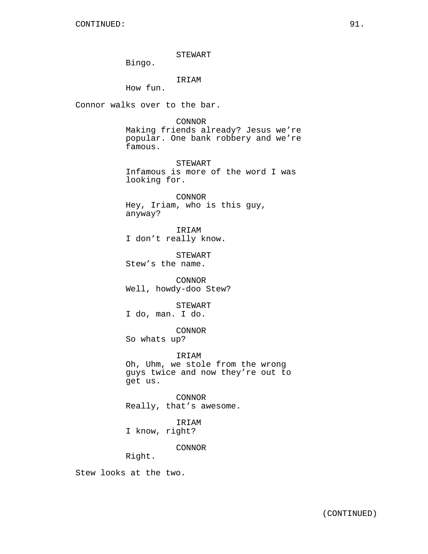STEWART

Bingo.

IRIAM

How fun.

Connor walks over to the bar.

CONNOR

Making friends already? Jesus we're popular. One bank robbery and we're famous.

STEWART Infamous is more of the word I was looking for.

CONNOR Hey, Iriam, who is this guy, anyway?

IRIAM I don't really know.

STEWART Stew's the name.

CONNOR Well, howdy-doo Stew?

STEWART

I do, man. I do.

CONNOR

So whats up?

IRIAM

Oh, Uhm, we stole from the wrong guys twice and now they're out to get us.

CONNOR Really, that's awesome.

IRIAM

I know, right?

CONNOR

Right.

Stew looks at the two.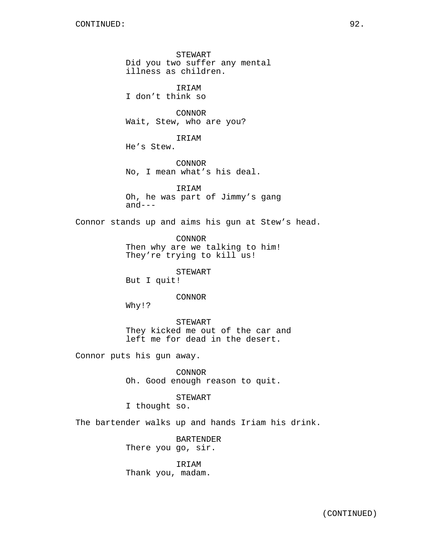STEWART Did you two suffer any mental illness as children.

IRIAM I don't think so

CONNOR Wait, Stew, who are you?

IRIAM He's Stew.

CONNOR No, I mean what's his deal.

IRIAM Oh, he was part of Jimmy's gang  $and---$ 

Connor stands up and aims his gun at Stew's head.

CONNOR Then why are we talking to him! They're trying to kill us!

STEWART

But I quit!

CONNOR

Why!?

STEWART They kicked me out of the car and left me for dead in the desert.

Connor puts his gun away.

CONNOR Oh. Good enough reason to quit.

STEWART

I thought so.

The bartender walks up and hands Iriam his drink.

BARTENDER There you go, sir.

IRIAM Thank you, madam.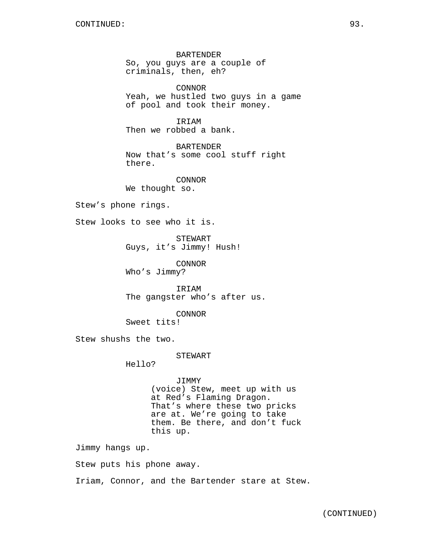BARTENDER So, you guys are a couple of criminals, then, eh?

CONNOR Yeah, we hustled two guys in a game of pool and took their money.

IRIAM Then we robbed a bank.

BARTENDER Now that's some cool stuff right there.

CONNOR We thought so.

Stew's phone rings.

Stew looks to see who it is.

STEWART Guys, it's Jimmy! Hush!

CONNOR Who's Jimmy?

IRIAM The gangster who's after us.

CONNOR

Sweet tits!

Stew shushs the two.

STEWART

Hello?

JIMMY (voice) Stew, meet up with us at Red's Flaming Dragon. That's where these two pricks are at. We're going to take them. Be there, and don't fuck this up.

Jimmy hangs up.

Stew puts his phone away.

Iriam, Connor, and the Bartender stare at Stew.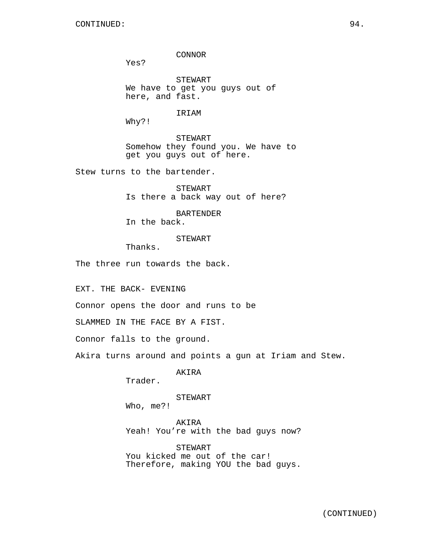CONNOR

Yes?

STEWART We have to get you guys out of here, and fast.

IRIAM

Why?!

STEWART Somehow they found you. We have to get you guys out of here.

Stew turns to the bartender.

STEWART Is there a back way out of here?

BARTENDER In the back.

STEWART

Thanks.

The three run towards the back.

EXT. THE BACK- EVENING

Connor opens the door and runs to be

SLAMMED IN THE FACE BY A FIST.

Connor falls to the ground.

Akira turns around and points a gun at Iriam and Stew.

AKIRA

Trader.

STEWART

Who, me?!

AKIRA Yeah! You're with the bad guys now?

STEWART You kicked me out of the car! Therefore, making YOU the bad guys.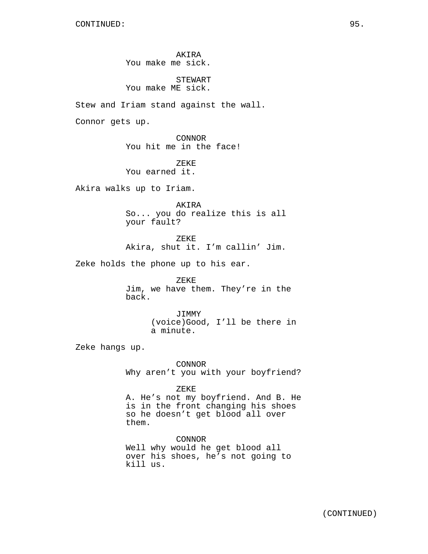AKIRA You make me sick.

STEWART You make ME sick.

Stew and Iriam stand against the wall.

Connor gets up.

CONNOR You hit me in the face!

ZEKE You earned it.

Akira walks up to Iriam.

AKIRA So... you do realize this is all your fault?

ZEKE Akira, shut it. I'm callin' Jim.

Zeke holds the phone up to his ear.

ZEKE Jim, we have them. They're in the back.

> JIMMY (voice)Good, I'll be there in a minute.

Zeke hangs up.

CONNOR Why aren't you with your boyfriend?

ZEKE

A. He's not my boyfriend. And B. He is in the front changing his shoes so he doesn't get blood all over them.

CONNOR Well why would he get blood all over his shoes, he's not going to kill us.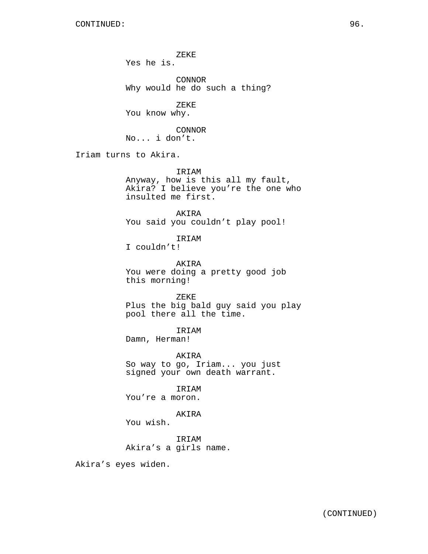ZEKE Yes he is.

CONNOR Why would he do such a thing?

ZEKE You know why.

CONNOR No... i don't.

Iriam turns to Akira.

IRIAM

Anyway, how is this all my fault, Akira? I believe you're the one who insulted me first.

AKIRA You said you couldn't play pool!

IRIAM

I couldn't!

AKIRA You were doing a pretty good job this morning!

ZEKE Plus the big bald guy said you play pool there all the time.

IRIAM

Damn, Herman!

AKIRA So way to go, Iriam... you just signed your own death warrant.

IRIAM You're a moron.

AKIRA

You wish.

IRIAM Akira's a girls name.

Akira's eyes widen.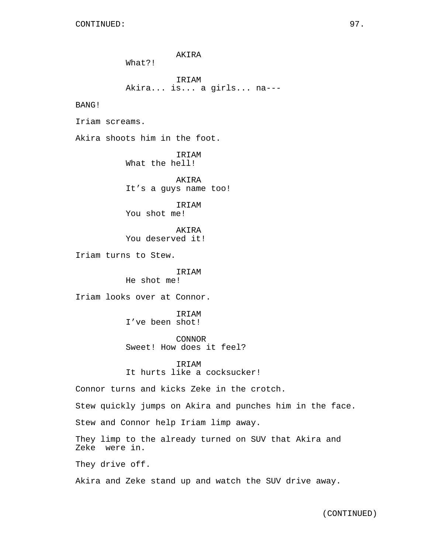AKIRA What?! IRIAM Akira... is... a girls... na--- BANG! Iriam screams. Akira shoots him in the foot. IRIAM What the hell! AKIRA It's a guys name too! IRIAM You shot me! AKIRA You deserved it! Iriam turns to Stew. IRIAM He shot me! Iriam looks over at Connor. IRIAM I've been shot! CONNOR Sweet! How does it feel? IRIAM It hurts like a cocksucker! Connor turns and kicks Zeke in the crotch. Stew quickly jumps on Akira and punches him in the face. Stew and Connor help Iriam limp away. They limp to the already turned on SUV that Akira and Zeke were in. They drive off. Akira and Zeke stand up and watch the SUV drive away.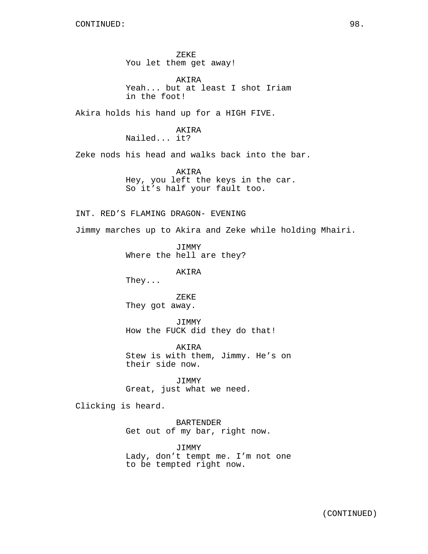ZEKE You let them get away!

AKIRA Yeah... but at least I shot Iriam in the foot!

Akira holds his hand up for a HIGH FIVE.

AKIRA Nailed... it?

Zeke nods his head and walks back into the bar.

AKIRA Hey, you left the keys in the car. So it's half your fault too.

INT. RED'S FLAMING DRAGON- EVENING

Jimmy marches up to Akira and Zeke while holding Mhairi.

JIMMY Where the hell are they?

AKIRA

They...

ZEKE They got away.

JIMMY How the FUCK did they do that!

AKIRA Stew is with them, Jimmy. He's on their side now.

JIMMY Great, just what we need.

Clicking is heard.

BARTENDER Get out of my bar, right now.

JIMMY Lady, don't tempt me. I'm not one to be tempted right now.

(CONTINUED)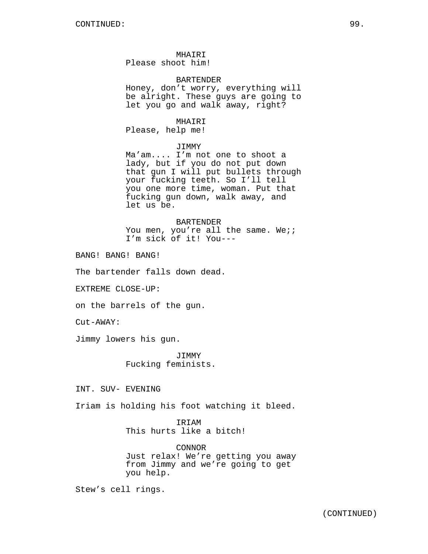MHAIRI Please shoot him!

#### BARTENDER

Honey, don't worry, everything will be alright. These guys are going to let you go and walk away, right?

MHAIRI Please, help me!

#### JIMMY

Ma'am.... I'm not one to shoot a lady, but if you do not put down that gun I will put bullets through your fucking teeth. So I'll tell you one more time, woman. Put that fucking gun down, walk away, and let us be.

BARTENDER You men, you're all the same. We;; I'm sick of it! You---

BANG! BANG! BANG!

The bartender falls down dead.

EXTREME CLOSE-UP:

on the barrels of the gun.

Cut-AWAY:

Jimmy lowers his gun.

JIMMY Fucking feminists.

INT. SUV- EVENING

Iriam is holding his foot watching it bleed.

IRIAM This hurts like a bitch!

CONNOR Just relax! We're getting you away from Jimmy and we're going to get you help.

Stew's cell rings.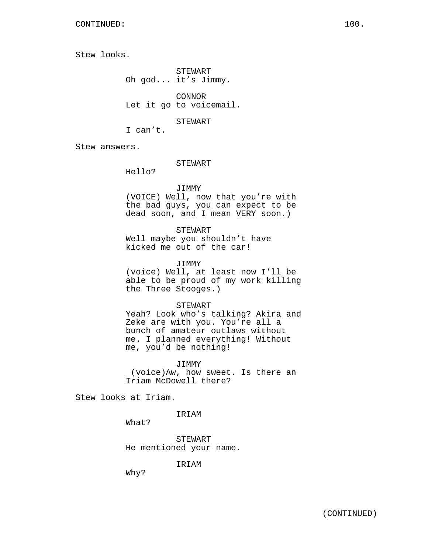Stew looks.

STEWART Oh god... it's Jimmy.

CONNOR Let it go to voicemail.

STEWART

I can't.

Stew answers.

### STEWART

Hello?

### JIMMY

(VOICE) Well, now that you're with the bad guys, you can expect to be dead soon, and I mean VERY soon.)

STEWART

Well maybe you shouldn't have kicked me out of the car!

JIMMY

(voice) Well, at least now I'll be able to be proud of my work killing the Three Stooges.)

### STEWART

Yeah? Look who's talking? Akira and Zeke are with you. You're all a bunch of amateur outlaws without me. I planned everything! Without me, you'd be nothing!

JIMMY (voice)Aw, how sweet. Is there an Iriam McDowell there?

Stew looks at Iriam.

IRIAM

What?

STEWART He mentioned your name.

IRIAM

Why?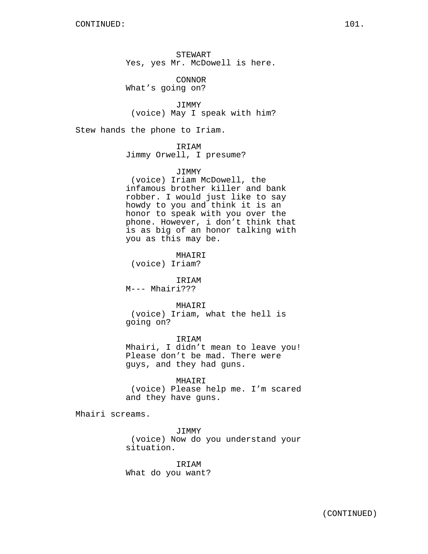STEWART Yes, yes Mr. McDowell is here.

CONNOR What's going on?

JIMMY (voice) May I speak with him?

Stew hands the phone to Iriam.

### IRIAM

Jimmy Orwell, I presume?

### JIMMY

(voice) Iriam McDowell, the infamous brother killer and bank robber. I would just like to say howdy to you and think it is an honor to speak with you over the phone. However, i don't think that is as big of an honor talking with you as this may be.

MHAIRI (voice) Iriam?

IRIAM

M--- Mhairi???

## MHAIRI

(voice) Iriam, what the hell is going on?

IRIAM Mhairi, I didn't mean to leave you! Please don't be mad. There were guys, and they had guns.

## MHAIRI

(voice) Please help me. I'm scared and they have guns.

Mhairi screams.

JIMMY (voice) Now do you understand your situation.

IRIAM What do you want?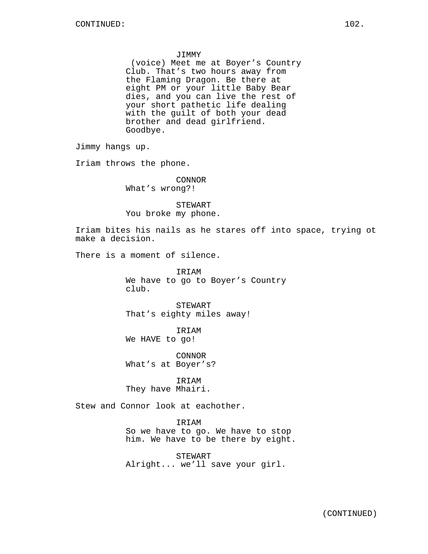#### JIMMY

(voice) Meet me at Boyer's Country Club. That's two hours away from the Flaming Dragon. Be there at eight PM or your little Baby Bear dies, and you can live the rest of your short pathetic life dealing with the guilt of both your dead brother and dead girlfriend. Goodbye.

Jimmy hangs up.

Iriam throws the phone.

CONNOR What's wrong?!

STEWART You broke my phone.

Iriam bites his nails as he stares off into space, trying ot make a decision.

There is a moment of silence.

IRIAM We have to go to Boyer's Country club.

STEWART That's eighty miles away!

IRIAM We HAVE to go!

CONNOR What's at Boyer's?

IRIAM They have Mhairi.

Stew and Connor look at eachother.

IRIAM

So we have to go. We have to stop him. We have to be there by eight.

STEWART Alright... we'll save your girl.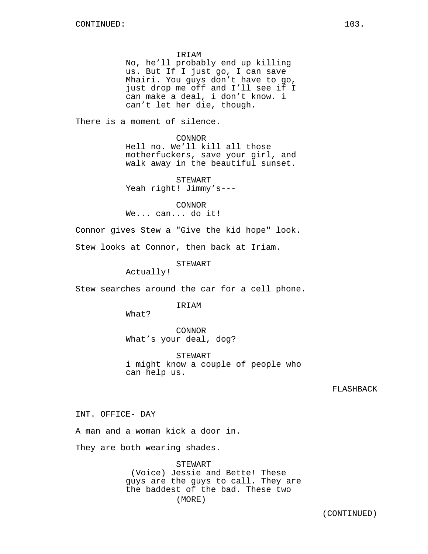IRIAM

No, he'll probably end up killing us. But If I just go, I can save Mhairi. You guys don't have to go, just drop me off and I'll see if I can make a deal, i don't know. i can't let her die, though.

There is a moment of silence.

CONNOR Hell no. We'll kill all those motherfuckers, save your girl, and walk away in the beautiful sunset.

STEWART Yeah right! Jimmy's---

CONNOR We... can... do it!

Connor gives Stew a "Give the kid hope" look.

Stew looks at Connor, then back at Iriam.

STEWART

Actually!

Stew searches around the car for a cell phone.

**TRTAM** 

What?

CONNOR What's your deal, dog?

STEWART i might know a couple of people who can help us.

FLASHBACK

INT. OFFICE- DAY

A man and a woman kick a door in.

They are both wearing shades.

STEWART (Voice) Jessie and Bette! These guys are the guys to call. They are the baddest of the bad. These two (MORE)

(CONTINUED)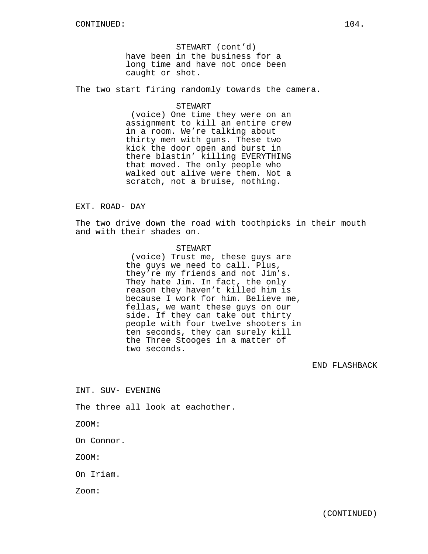STEWART (cont'd) have been in the business for a long time and have not once been caught or shot.

The two start firing randomly towards the camera.

#### STEWART

(voice) One time they were on an assignment to kill an entire crew in a room. We're talking about thirty men with guns. These two kick the door open and burst in there blastin' killing EVERYTHING that moved. The only people who walked out alive were them. Not a scratch, not a bruise, nothing.

## EXT. ROAD- DAY

The two drive down the road with toothpicks in their mouth and with their shades on.

#### STEWART

(voice) Trust me, these guys are the guys we need to call. Plus, they're my friends and not Jim's. They hate Jim. In fact, the only reason they haven't killed him is because I work for him. Believe me, fellas, we want these guys on our side. If they can take out thirty people with four twelve shooters in ten seconds, they can surely kill the Three Stooges in a matter of two seconds.

## END FLASHBACK

INT. SUV- EVENING

The three all look at eachother.

ZOOM:

On Connor.

ZOOM:

On Iriam.

Zoom: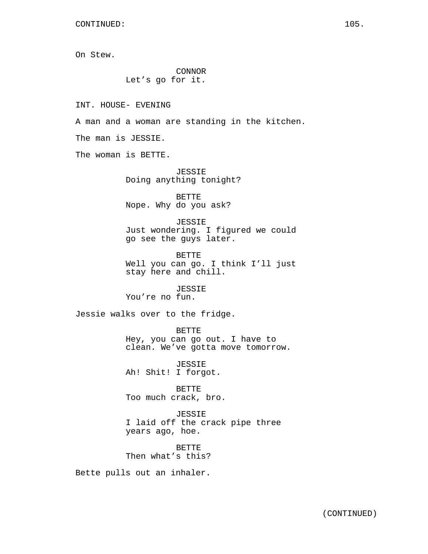On Stew.

CONNOR Let's go for it.

INT. HOUSE- EVENING

A man and a woman are standing in the kitchen.

The man is JESSIE.

The woman is BETTE.

JESSIE Doing anything tonight?

BETTE Nope. Why do you ask?

JESSIE Just wondering. I figured we could go see the guys later.

BETTE Well you can go. I think I'll just stay here and chill.

JESSIE You're no fun.

Jessie walks over to the fridge.

BETTE Hey, you can go out. I have to clean. We've gotta move tomorrow.

JESSIE Ah! Shit! I forgot.

BETTE Too much crack, bro.

JESSIE I laid off the crack pipe three years ago, hoe.

BETTE Then what's this?

Bette pulls out an inhaler.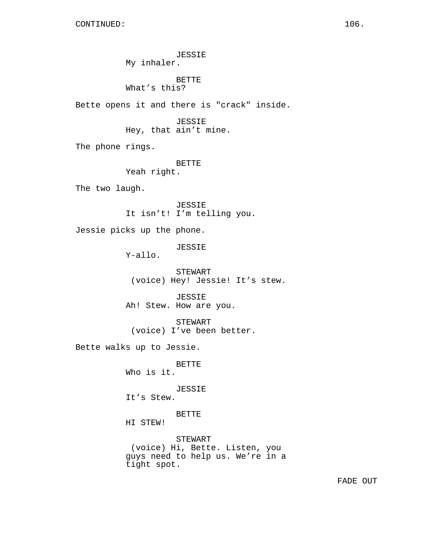JESSIE My inhaler. BETTE What's this? Bette opens it and there is "crack" inside. JESSIE Hey, that ain't mine. The phone rings. BETTE Yeah right. The two laugh. JESSIE It isn't! I'm telling you. Jessie picks up the phone. JESSIE Y-allo. STEWART (voice) Hey! Jessie! It's stew. JESSIE Ah! Stew. How are you. STEWART (voice) I've been better. Bette walks up to Jessie. BETTE Who is it. JESSIE It's Stew. BETTE HI STEW! STEWART (voice) Hi, Bette. Listen, you guys need to help us. We're in a tight spot.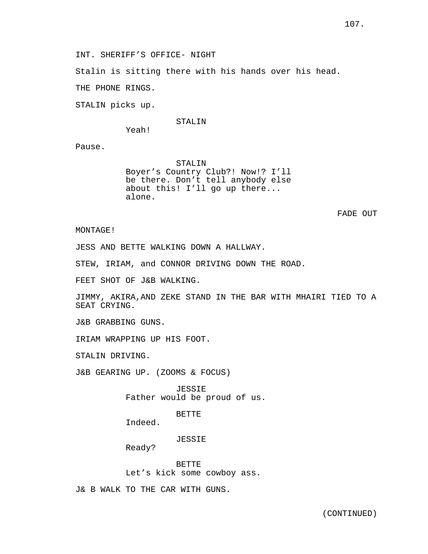INT. SHERIFF'S OFFICE- NIGHT

Stalin is sitting there with his hands over his head.

THE PHONE RINGS.

STALIN picks up.

#### STALIN

Yeah!

Pause.

STALIN Boyer's Country Club?! Now!? I'll be there. Don't tell anybody else about this! I'll go up there... alone.

FADE OUT

MONTAGE!

JESS AND BETTE WALKING DOWN A HALLWAY.

STEW, IRIAM, and CONNOR DRIVING DOWN THE ROAD.

FEET SHOT OF J&B WALKING.

JIMMY, AKIRA,AND ZEKE STAND IN THE BAR WITH MHAIRI TIED TO A SEAT CRYING.

J&B GRABBING GUNS.

IRIAM WRAPPING UP HIS FOOT.

STALIN DRIVING.

J&B GEARING UP. (ZOOMS & FOCUS)

JESSIE Father would be proud of us.

BETTE

Indeed.

JESSIE

Ready?

BETTE Let's kick some cowboy ass.

J& B WALK TO THE CAR WITH GUNS.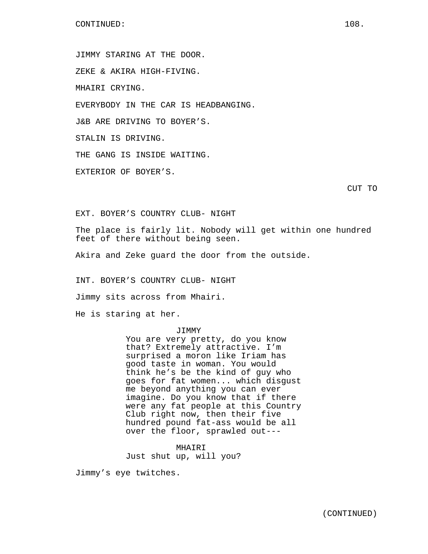JIMMY STARING AT THE DOOR.

ZEKE & AKIRA HIGH-FIVING.

MHAIRI CRYING.

EVERYBODY IN THE CAR IS HEADBANGING.

J&B ARE DRIVING TO BOYER'S.

STALIN IS DRIVING.

THE GANG IS INSIDE WAITING.

EXTERIOR OF BOYER'S.

CUT TO

EXT. BOYER'S COUNTRY CLUB- NIGHT

The place is fairly lit. Nobody will get within one hundred feet of there without being seen.

Akira and Zeke guard the door from the outside.

INT. BOYER'S COUNTRY CLUB- NIGHT

Jimmy sits across from Mhairi.

He is staring at her.

#### JIMMY

You are very pretty, do you know that? Extremely attractive. I'm surprised a moron like Iriam has good taste in woman. You would think he's be the kind of guy who goes for fat women... which disgust me beyond anything you can ever imagine. Do you know that if there were any fat people at this Country Club right now, then their five hundred pound fat-ass would be all over the floor, sprawled out---

MHAIRI Just shut up, will you?

Jimmy's eye twitches.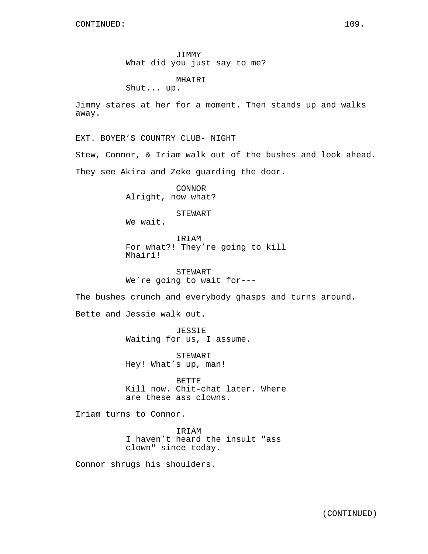JIMMY What did you just say to me?

MHAIRI

Shut... up.

Jimmy stares at her for a moment. Then stands up and walks away.

EXT. BOYER'S COUNTRY CLUB- NIGHT

Stew, Connor, & Iriam walk out of the bushes and look ahead. They see Akira and Zeke guarding the door.

> CONNOR Alright, now what?

> > STEWART

We wait.

IRIAM For what?! They're going to kill Mhairi!

STEWART We're going to wait for---

The bushes crunch and everybody ghasps and turns around.

Bette and Jessie walk out.

JESSIE Waiting for us, I assume.

STEWART Hey! What's up, man!

BETTE Kill now. Chit-chat later. Where are these ass clowns.

Iriam turns to Connor.

IRIAM I haven't heard the insult "ass clown" since today.

Connor shrugs his shoulders.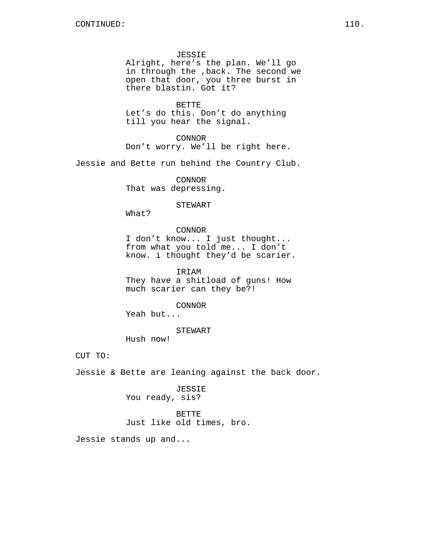JESSIE Alright, here's the plan. We'll go in through the ,back. The second we open that door, you three burst in there blastin. Got it?

BETTE Let's do this. Don't do anything till you hear the signal.

CONNOR Don't worry. We'll be right here.

Jessie and Bette run behind the Country Club.

CONNOR That was depressing.

STEWART

What?

### CONNOR

I don't know... I just thought... from what you told me... I don't know. i thought they'd be scarier.

IRIAM They have a shitload of guns! How much scarier can they be?!

CONNOR

Yeah but...

STEWART

Hush now!

CUT TO:

Jessie & Bette are leaning against the back door.

JESSIE You ready, sis?

BETTE Just like old times, bro.

Jessie stands up and...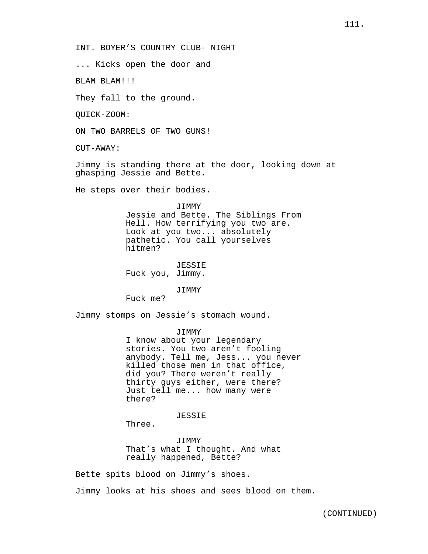INT. BOYER'S COUNTRY CLUB- NIGHT

... Kicks open the door and

BLAM BLAM!!!

They fall to the ground.

QUICK-ZOOM:

ON TWO BARRELS OF TWO GUNS!

CUT-AWAY:

Jimmy is standing there at the door, looking down at ghasping Jessie and Bette.

He steps over their bodies.

JIMMY

Jessie and Bette. The Siblings From Hell. How terrifying you two are. Look at you two... absolutely pathetic. You call yourselves hitmen?

JESSIE Fuck you, Jimmy.

JIMMY

Fuck me?

Jimmy stomps on Jessie's stomach wound.

JIMMY

I know about your legendary stories. You two aren't fooling anybody. Tell me, Jess... you never killed those men in that office, did you? There weren't really thirty guys either, were there? Just tell me... how many were there?

JESSIE

Three.

JIMMY That's what I thought. And what really happened, Bette?

Bette spits blood on Jimmy's shoes.

Jimmy looks at his shoes and sees blood on them.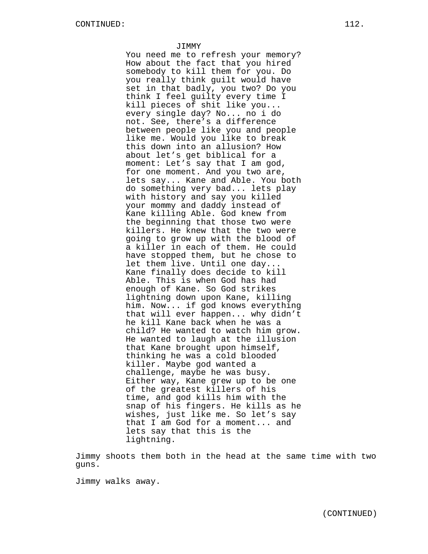JIMMY

You need me to refresh your memory? How about the fact that you hired somebody to kill them for you. Do you really think guilt would have set in that badly, you two? Do you think I feel guilty every time I kill pieces of shit like you... every single day? No... no i do not. See, there's a difference between people like you and people like me. Would you like to break this down into an allusion? How about let's get biblical for a moment: Let's say that I am god, for one moment. And you two are, lets say... Kane and Able. You both do something very bad... lets play with history and say you killed your mommy and daddy instead of Kane killing Able. God knew from the beginning that those two were killers. He knew that the two were going to grow up with the blood of a killer in each of them. He could have stopped them, but he chose to let them live. Until one day... Kane finally does decide to kill Able. This is when God has had enough of Kane. So God strikes lightning down upon Kane, killing him. Now... if god knows everything that will ever happen... why didn't he kill Kane back when he was a child? He wanted to watch him grow. He wanted to laugh at the illusion that Kane brought upon himself, thinking he was a cold blooded killer. Maybe god wanted a challenge, maybe he was busy. Either way, Kane grew up to be one of the greatest killers of his time, and god kills him with the snap of his fingers. He kills as he wishes, just like me. So let's say that I am God for a moment... and lets say that this is the lightning.

Jimmy shoots them both in the head at the same time with two guns.

Jimmy walks away.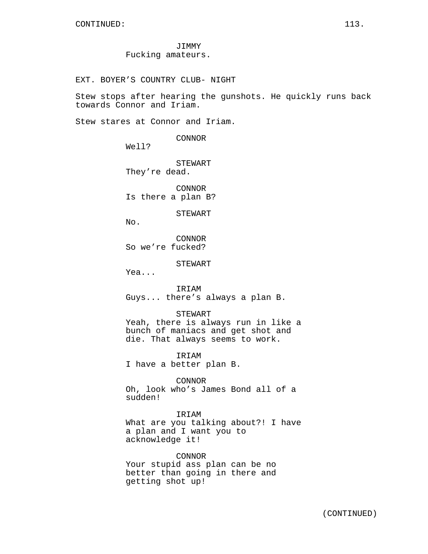JIMMY Fucking amateurs.

EXT. BOYER'S COUNTRY CLUB- NIGHT

Stew stops after hearing the gunshots. He quickly runs back towards Connor and Iriam.

Stew stares at Connor and Iriam.

CONNOR

Well?

STEWART They're dead.

CONNOR Is there a plan B?

STEWART

 $N_{\Omega}$ .

CONNOR So we're fucked?

STEWART

Yea...

IRIAM Guys... there's always a plan B.

STEWART

Yeah, there is always run in like a bunch of maniacs and get shot and die. That always seems to work.

IRIAM I have a better plan B.

CONNOR Oh, look who's James Bond all of a sudden!

IRIAM

What are you talking about?! I have a plan and I want you to acknowledge it!

CONNOR Your stupid ass plan can be no better than going in there and getting shot up!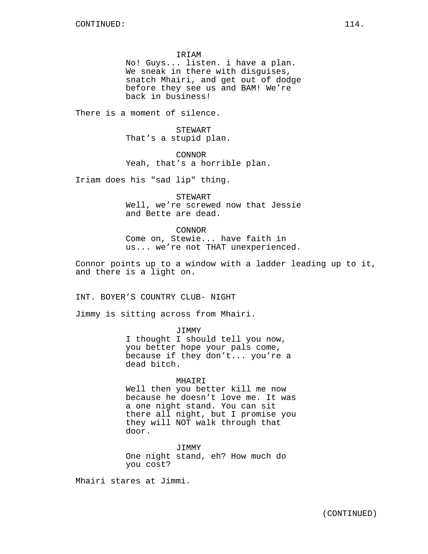IRIAM

No! Guys... listen. i have a plan. We sneak in there with disguises, snatch Mhairi, and get out of dodge before they see us and BAM! We're back in business!

There is a moment of silence.

STEWART That's a stupid plan.

CONNOR Yeah, that's a horrible plan.

Iriam does his "sad lip" thing.

STEWART Well, we're screwed now that Jessie and Bette are dead.

CONNOR Come on, Stewie... have faith in us... we're not THAT unexperienced.

Connor points up to a window with a ladder leading up to it, and there is a light on.

INT. BOYER'S COUNTRY CLUB- NIGHT

Jimmy is sitting across from Mhairi.

JIMMY I thought I should tell you now, you better hope your pals come, because if they don't... you're a dead bitch.

#### MHAIRI

Well then you better kill me now because he doesn't love me. It was a one night stand. You can sit there all night, but I promise you they will NOT walk through that door.

JIMMY One night stand, eh? How much do you cost?

Mhairi stares at Jimmi.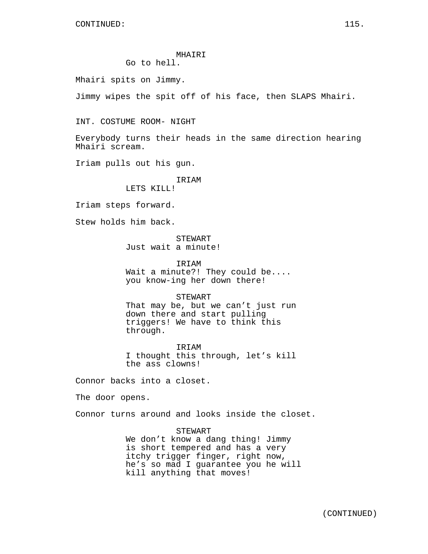CONTINUED: 115.

# MHAIRI Go to hell.

Mhairi spits on Jimmy.

Jimmy wipes the spit off of his face, then SLAPS Mhairi.

INT. COSTUME ROOM- NIGHT

Everybody turns their heads in the same direction hearing Mhairi scream.

Iriam pulls out his gun.

IRIAM LETS KILL!

Iriam steps forward.

Stew holds him back.

**STEWART** Just wait a minute!

IRIAM Wait a minute?! They could be.... you know-ing her down there!

#### STEWART

That may be, but we can't just run down there and start pulling triggers! We have to think this through.

IRIAM I thought this through, let's kill the ass clowns!

Connor backs into a closet.

The door opens.

Connor turns around and looks inside the closet.

STEWART We don't know a dang thing! Jimmy is short tempered and has a very itchy trigger finger, right now, he's so mad I guarantee you he will kill anything that moves!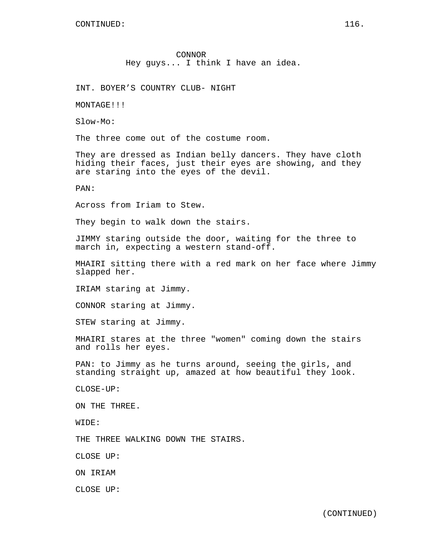INT. BOYER'S COUNTRY CLUB- NIGHT

MONTAGE!!!

Slow-Mo:

The three come out of the costume room.

They are dressed as Indian belly dancers. They have cloth hiding their faces, just their eyes are showing, and they are staring into the eyes of the devil.

PAN:

Across from Iriam to Stew.

They begin to walk down the stairs.

JIMMY staring outside the door, waiting for the three to march in, expecting a western stand-off.

MHAIRI sitting there with a red mark on her face where Jimmy slapped her.

IRIAM staring at Jimmy.

CONNOR staring at Jimmy.

STEW staring at Jimmy.

MHAIRI stares at the three "women" coming down the stairs and rolls her eyes.

PAN: to Jimmy as he turns around, seeing the girls, and standing straight up, amazed at how beautiful they look.

CLOSE-UP:

ON THE THREE.

WIDE:

THE THREE WALKING DOWN THE STAIRS.

CLOSE UP:

ON IRIAM

CLOSE UP: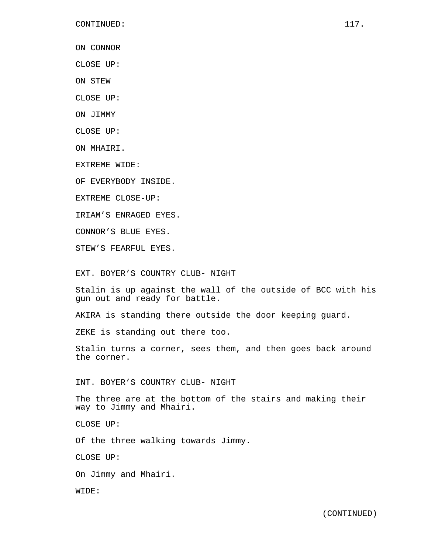ON CONNOR

CLOSE UP:

ON STEW

CLOSE UP:

ON JIMMY

CLOSE UP:

ON MHAIRI.

EXTREME WIDE:

OF EVERYBODY INSIDE.

EXTREME CLOSE-UP:

IRIAM'S ENRAGED EYES.

CONNOR'S BLUE EYES.

STEW'S FEARFUL EYES.

EXT. BOYER'S COUNTRY CLUB- NIGHT

Stalin is up against the wall of the outside of BCC with his gun out and ready for battle.

AKIRA is standing there outside the door keeping guard.

ZEKE is standing out there too.

Stalin turns a corner, sees them, and then goes back around the corner.

INT. BOYER'S COUNTRY CLUB- NIGHT

The three are at the bottom of the stairs and making their way to Jimmy and Mhairi.

CLOSE UP:

Of the three walking towards Jimmy.

CLOSE UP:

On Jimmy and Mhairi.

WIDE: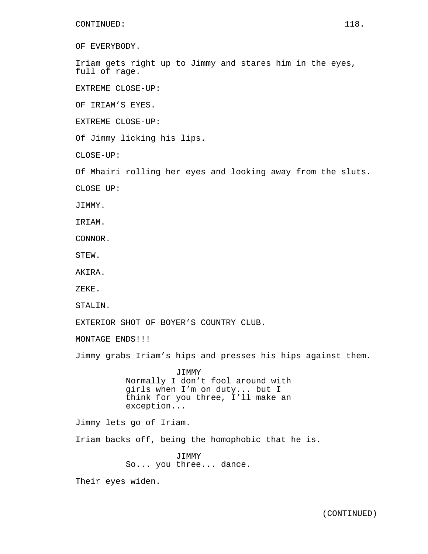OF EVERYBODY.

Iriam gets right up to Jimmy and stares him in the eyes, full of rage.

EXTREME CLOSE-UP:

OF IRIAM'S EYES.

EXTREME CLOSE-UP:

Of Jimmy licking his lips.

CLOSE-UP:

Of Mhairi rolling her eyes and looking away from the sluts.

CLOSE UP:

JIMMY.

IRIAM.

CONNOR.

STEW.

AKIRA.

ZEKE.

STALIN.

EXTERIOR SHOT OF BOYER'S COUNTRY CLUB.

MONTAGE ENDS!!!

Jimmy grabs Iriam's hips and presses his hips against them.

JIMMY Normally I don't fool around with girls when I'm on duty... but I think for you three, I'll make an exception...

Jimmy lets go of Iriam.

Iriam backs off, being the homophobic that he is.

JIMMY So... you three... dance.

Their eyes widen.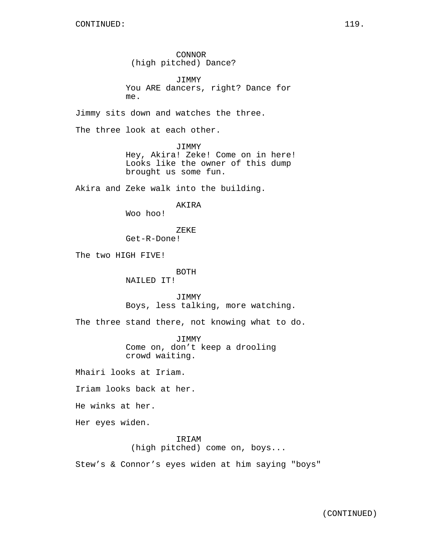CONNOR (high pitched) Dance?

JIMMY You ARE dancers, right? Dance for me.

Jimmy sits down and watches the three.

The three look at each other.

JIMMY Hey, Akira! Zeke! Come on in here! Looks like the owner of this dump brought us some fun.

Akira and Zeke walk into the building.

AKIRA

Woo hoo!

ZEKE Get-R-Done!

The two HIGH FIVE!

BOTH NAILED IT!

JIMMY Boys, less talking, more watching.

The three stand there, not knowing what to do.

JIMMY Come on, don't keep a drooling crowd waiting.

Mhairi looks at Iriam.

Iriam looks back at her.

He winks at her.

Her eyes widen.

IRIAM (high pitched) come on, boys...

Stew's & Connor's eyes widen at him saying "boys"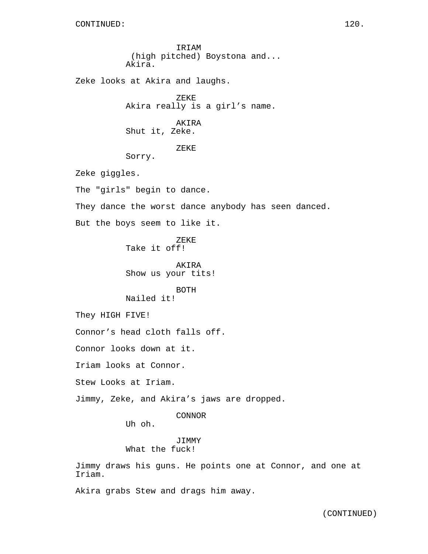IRIAM (high pitched) Boystona and... Akira.

Zeke looks at Akira and laughs.

ZEKE Akira really is a girl's name.

AKIRA Shut it, Zeke.

ZEKE

Sorry.

Zeke giggles.

The "girls" begin to dance.

They dance the worst dance anybody has seen danced.

But the boys seem to like it.

ZEKE Take it off!

AKIRA Show us your tits!

BOTH Nailed it!

They HIGH FIVE!

Connor's head cloth falls off.

Connor looks down at it.

Iriam looks at Connor.

Stew Looks at Iriam.

Jimmy, Zeke, and Akira's jaws are dropped.

CONNOR

Uh oh.

### JIMMY What the fuck!

Jimmy draws his guns. He points one at Connor, and one at Iriam.

Akira grabs Stew and drags him away.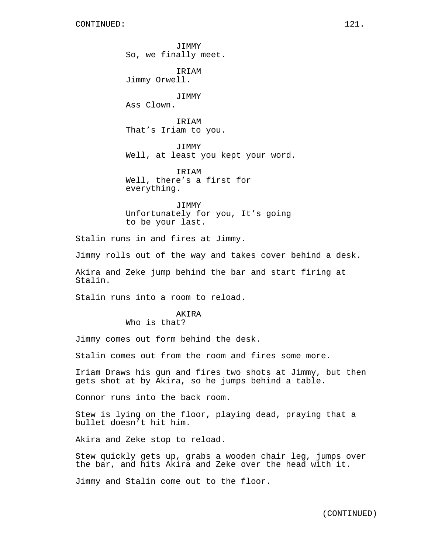JIMMY So, we finally meet.

IRIAM Jimmy Orwell.

JIMMY Ass Clown.

IRIAM That's Iriam to you.

JIMMY Well, at least you kept your word.

IRIAM Well, there's a first for everything.

JIMMY Unfortunately for you, It's going to be your last.

Stalin runs in and fires at Jimmy.

Jimmy rolls out of the way and takes cover behind a desk.

Akira and Zeke jump behind the bar and start firing at Stalin.

Stalin runs into a room to reload.

# AKIRA

Who is that?

Jimmy comes out form behind the desk.

Stalin comes out from the room and fires some more.

Iriam Draws his gun and fires two shots at Jimmy, but then gets shot at by Akira, so he jumps behind a table.

Connor runs into the back room.

Stew is lying on the floor, playing dead, praying that a bullet doesn't hit him.

Akira and Zeke stop to reload.

Stew quickly gets up, grabs a wooden chair leg, jumps over the bar, and hits Akira and Zeke over the head with it.

Jimmy and Stalin come out to the floor.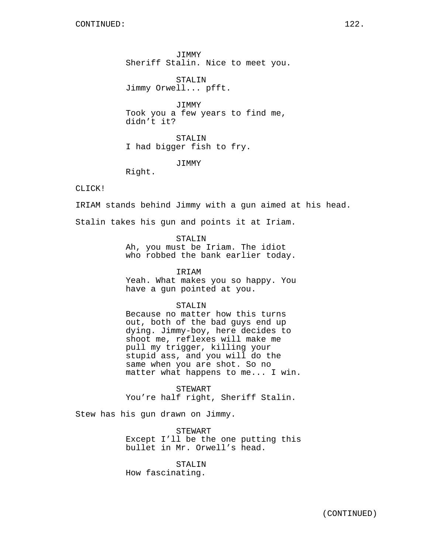JIMMY Sheriff Stalin. Nice to meet you.

STALIN Jimmy Orwell... pfft.

JIMMY Took you a few years to find me, didn't it?

STALIN I had bigger fish to fry.

JIMMY

Right.

CLICK!

IRIAM stands behind Jimmy with a gun aimed at his head.

Stalin takes his gun and points it at Iriam.

STALIN

Ah, you must be Iriam. The idiot who robbed the bank earlier today.

IRIAM

Yeah. What makes you so happy. You have a gun pointed at you.

## STALIN

Because no matter how this turns out, both of the bad guys end up dying. Jimmy-boy, here decides to shoot me, reflexes will make me pull my trigger, killing your stupid ass, and you will do the same when you are shot. So no matter what happens to me... I win.

STEWART You're half right, Sheriff Stalin.

Stew has his gun drawn on Jimmy.

STEWART Except I'll be the one putting this bullet in Mr. Orwell's head.

STALIN How fascinating.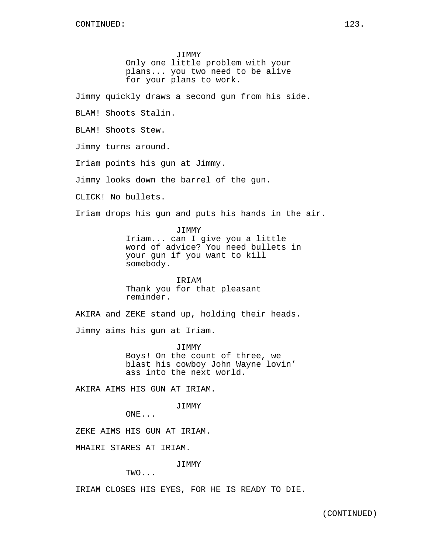JIMMY Only one little problem with your plans... you two need to be alive for your plans to work.

Jimmy quickly draws a second gun from his side.

BLAM! Shoots Stalin.

BLAM! Shoots Stew.

Jimmy turns around.

Iriam points his gun at Jimmy.

Jimmy looks down the barrel of the gun.

CLICK! No bullets.

Iriam drops his gun and puts his hands in the air.

JIMMY Iriam... can I give you a little word of advice? You need bullets in your gun if you want to kill somebody.

IRIAM Thank you for that pleasant reminder.

AKIRA and ZEKE stand up, holding their heads.

Jimmy aims his gun at Iriam.

JIMMY Boys! On the count of three, we blast his cowboy John Wayne lovin' ass into the next world.

AKIRA AIMS HIS GUN AT IRIAM.

JIMMY

ONE...

ZEKE AIMS HIS GUN AT IRIAM.

MHAIRI STARES AT IRIAM.

JIMMY

TWO...

IRIAM CLOSES HIS EYES, FOR HE IS READY TO DIE.

(CONTINUED)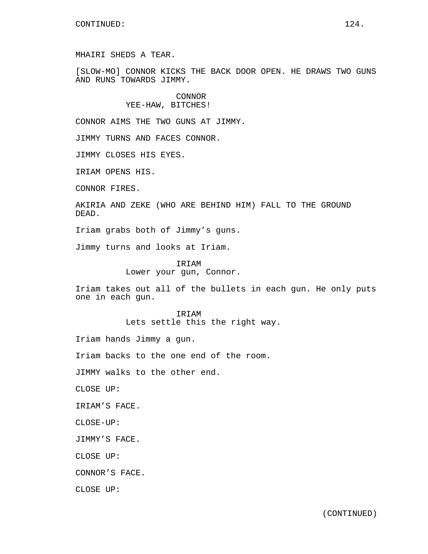MHAIRI SHEDS A TEAR.

[SLOW-MO] CONNOR KICKS THE BACK DOOR OPEN. HE DRAWS TWO GUNS AND RUNS TOWARDS JIMMY.

# CONNOR YEE-HAW, BITCHES!

CONNOR AIMS THE TWO GUNS AT JIMMY.

JIMMY TURNS AND FACES CONNOR.

JIMMY CLOSES HIS EYES.

IRIAM OPENS HIS.

CONNOR FIRES.

AKIRIA AND ZEKE (WHO ARE BEHIND HIM) FALL TO THE GROUND DEAD.

Iriam grabs both of Jimmy's guns.

Jimmy turns and looks at Iriam.

IRIAM Lower your gun, Connor.

Iriam takes out all of the bullets in each gun. He only puts one in each gun.

> IRIAM Lets settle this the right way.

Iriam hands Jimmy a gun.

Iriam backs to the one end of the room.

JIMMY walks to the other end.

CLOSE UP:

IRIAM'S FACE.

CLOSE-UP:

JIMMY'S FACE.

CLOSE UP:

CONNOR'S FACE.

CLOSE UP: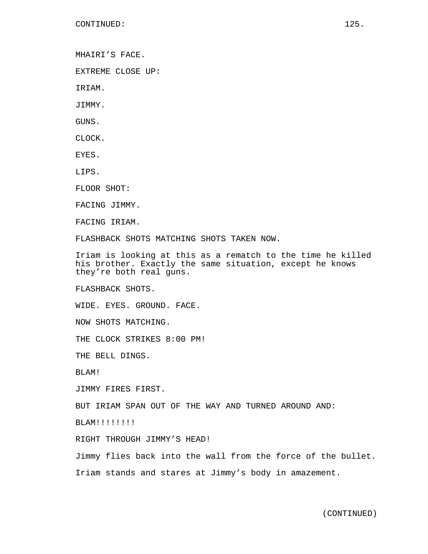MHAIRI'S FACE.

EXTREME CLOSE UP:

IRIAM.

JIMMY.

GUNS.

CLOCK.

EYES.

LIPS.

FLOOR SHOT:

FACING JIMMY.

FACING IRIAM.

FLASHBACK SHOTS MATCHING SHOTS TAKEN NOW.

Iriam is looking at this as a rematch to the time he killed his brother. Exactly the same situation, except he knows they're both real guns.

FLASHBACK SHOTS.

WIDE. EYES. GROUND. FACE.

NOW SHOTS MATCHING.

THE CLOCK STRIKES 8:00 PM!

THE BELL DINGS.

BLAM!

JIMMY FIRES FIRST.

BUT IRIAM SPAN OUT OF THE WAY AND TURNED AROUND AND:

BLAM!!!!!!!!

RIGHT THROUGH JIMMY'S HEAD!

Jimmy flies back into the wall from the force of the bullet.

Iriam stands and stares at Jimmy's body in amazement.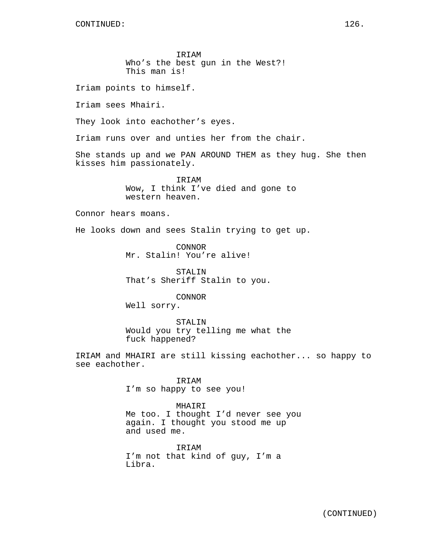IRIAM Who's the best gun in the West?! This man is!

Iriam points to himself.

Iriam sees Mhairi.

They look into eachother's eyes.

Iriam runs over and unties her from the chair.

She stands up and we PAN AROUND THEM as they hug. She then kisses him passionately.

> IRIAM Wow, I think I've died and gone to western heaven.

Connor hears moans.

He looks down and sees Stalin trying to get up.

CONNOR Mr. Stalin! You're alive!

STALIN That's Sheriff Stalin to you.

CONNOR Well sorry.

STALIN Would you try telling me what the fuck happened?

IRIAM and MHAIRI are still kissing eachother... so happy to see eachother.

> IRIAM I'm so happy to see you!

MHAIRI Me too. I thought I'd never see you again. I thought you stood me up and used me.

IRIAM I'm not that kind of guy, I'm a Libra.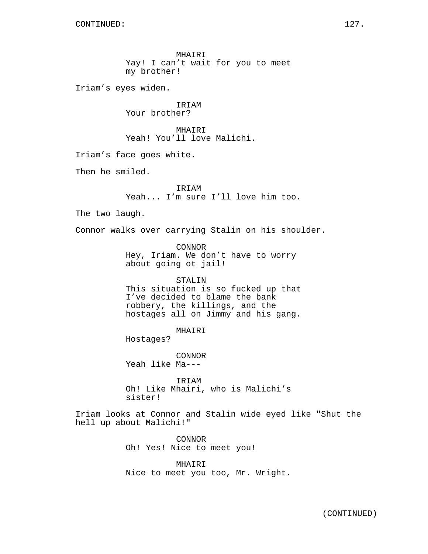MHAIRI Yay! I can't wait for you to meet my brother! Iriam's eyes widen. IRIAM Your brother? MHAIRI Yeah! You'll love Malichi. Iriam's face goes white. Then he smiled. IRIAM Yeah... I'm sure I'll love him too. The two laugh. Connor walks over carrying Stalin on his shoulder. CONNOR Hey, Iriam. We don't have to worry about going ot jail! STALIN This situation is so fucked up that I've decided to blame the bank robbery, the killings, and the hostages all on Jimmy and his gang. MHAIRI Hostages? CONNOR Yeah like Ma--- IRIAM Oh! Like Mhairi, who is Malichi's sister! Iriam looks at Connor and Stalin wide eyed like "Shut the hell up about Malichi!" CONNOR Oh! Yes! Nice to meet you!

> MHAIRI Nice to meet you too, Mr. Wright.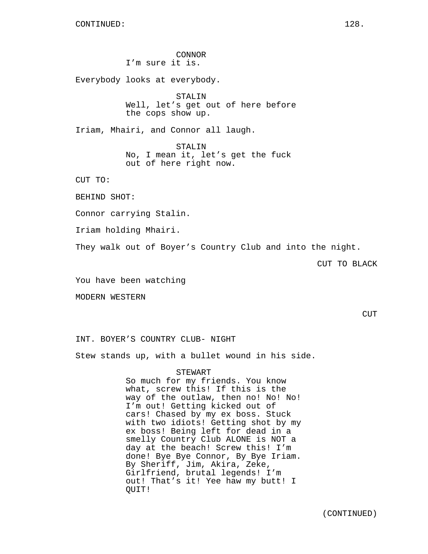CONNOR I'm sure it is. Everybody looks at everybody. STALIN Well, let's get out of here before the cops show up. Iriam, Mhairi, and Connor all laugh. STALIN No, I mean it, let's get the fuck out of here right now. CUT TO: BEHIND SHOT: Connor carrying Stalin. Iriam holding Mhairi. They walk out of Boyer's Country Club and into the night.

CUT TO BLACK

You have been watching

MODERN WESTERN

CUT

INT. BOYER'S COUNTRY CLUB- NIGHT

Stew stands up, with a bullet wound in his side.

#### STEWART

So much for my friends. You know what, screw this! If this is the way of the outlaw, then no! No! No! I'm out! Getting kicked out of cars! Chased by my ex boss. Stuck with two idiots! Getting shot by my ex boss! Being left for dead in a smelly Country Club ALONE is NOT a day at the beach! Screw this! I'm done! Bye Bye Connor, By Bye Iriam. By Sheriff, Jim, Akira, Zeke, Girlfriend, brutal legends! I'm out! That's it! Yee haw my butt! I QUIT!

(CONTINUED)